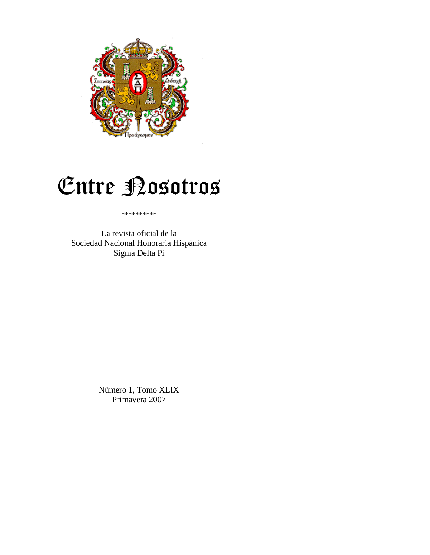

# Entre Bosotros

#### \*\*\*\*\*\*\*\*\*\*

La revista oficial de la Sociedad Nacional Honoraria Hispánica Sigma Delta Pi

> Número 1, Tomo XLIX Primavera 2007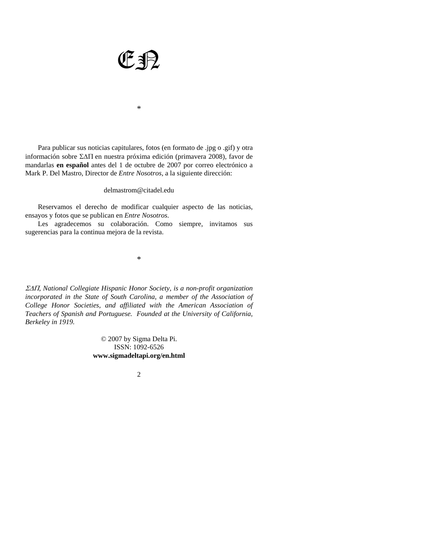

\*

 Para publicar sus noticias capitulares, fotos (en formato de .jpg o .gif) y otra información sobre ΣΔΠ en nuestra próxima edición (primavera 2008), favor de mandarlas **en español** antes del 1 de octubre de 2007 por correo electrónico a Mark P. Del Mastro, Director de *Entre Nosotros*, a la siguiente dirección:

#### delmastrom@citadel.edu

 Reservamos el derecho de modificar cualquier aspecto de las noticias, ensayos y fotos que se publican en *Entre Nosotros*.

 Les agradecemos su colaboración. Como siempre, invitamos sus sugerencias para la continua mejora de la revista.

\*

ΣΔΠ*, National Collegiate Hispanic Honor Society, is a non-profit organization incorporated in the State of South Carolina, a member of the Association of College Honor Societies, and affiliated with the American Association of Teachers of Spanish and Portuguese. Founded at the University of California, Berkeley in 1919.* 

> © 2007 by Sigma Delta Pi. ISSN: 1092-6526 **www.sigmadeltapi.org/en.html**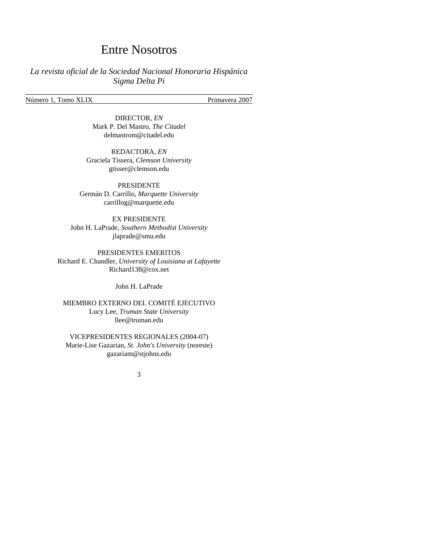### Entre Nosotros

### *La revista oficial de la Sociedad Nacional Honoraria Hispánica Sigma Delta Pi*

\_\_\_\_\_\_\_\_\_\_\_\_\_\_\_\_\_\_\_\_\_\_\_\_\_\_\_\_\_\_\_\_\_\_\_\_\_\_\_\_\_\_\_\_\_\_\_\_\_\_\_\_\_\_

Número 1, Tomo XLIX Primavera 2007

DIRECTOR, *EN* Mark P. Del Mastro, *The Citadel* delmastrom@citadel.edu

REDACTORA, *EN* Graciela Tissera, *Clemson University* gtisser@clemson.edu

PRESIDENTE Germán D. Carrillo, *Marquette University* carrillog@marquette.edu

EX PRESIDENTE John H. LaPrade, *Southern Methodist University* jlaprade@smu.edu

PRESIDENTES EMERITOS Richard E. Chandler, *University of Louisiana at Lafayette*  Richard138@cox.net

John H. LaPrade

MIEMBRO EXTERNO DEL COMITÉ EJECUTIVO Lucy Lee, *Truman State University* llee@truman.edu

VICEPRESIDENTES REGIONALES (2004-07) Marie-Lise Gazarian, *St. John's University* (noreste) gazariam@stjohns.edu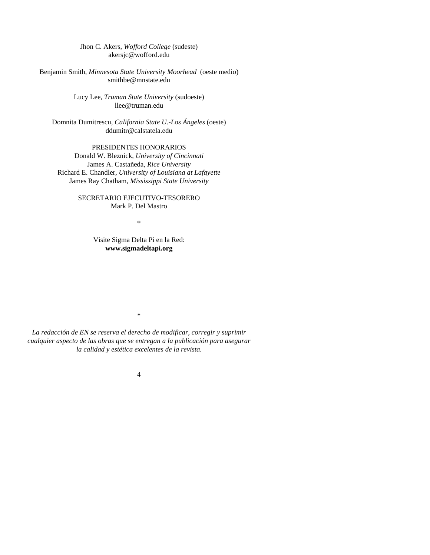#### Jhon C. Akers, *Wofford College* (sudeste) akersjc@wofford.edu

Benjamin Smith, *Minnesota State University Moorhead* (oeste medio) smithbe@mnstate.edu

> Lucy Lee, *Truman State University* (sudoeste) llee@truman.edu

Domnita Dumitrescu, *California State U.-Los Ángeles* (oeste) ddumitr@calstatela.edu

#### PRESIDENTES HONORARIOS

Donald W. Bleznick, *University of Cincinnati*  James A. Castañeda, *Rice University*  Richard E. Chandler, *University of Louisiana at Lafayette*  James Ray Chatham, *Mississippi State University* 

#### SECRETARIO EJECUTIVO-TESORERO Mark P. Del Mastro

\*

Visite Sigma Delta Pi en la Red: **www.sigmadeltapi.org**

\*

*La redacción de EN se reserva el derecho de modificar, corregir y suprimir cualquier aspecto de las obras que se entregan a la publicación para asegurar la calidad y estética excelentes de la revista.*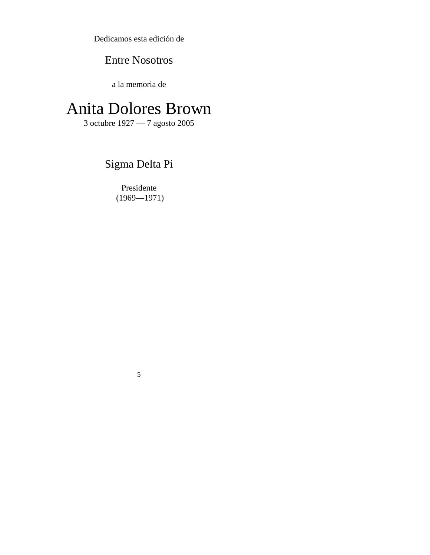Dedicamos esta edición de

# Entre Nosotros

a la memoria de

# Anita Dolores Brown

3 octubre 1927 — 7 agosto 2005

# Sigma Delta Pi

Presidente (1969—1971)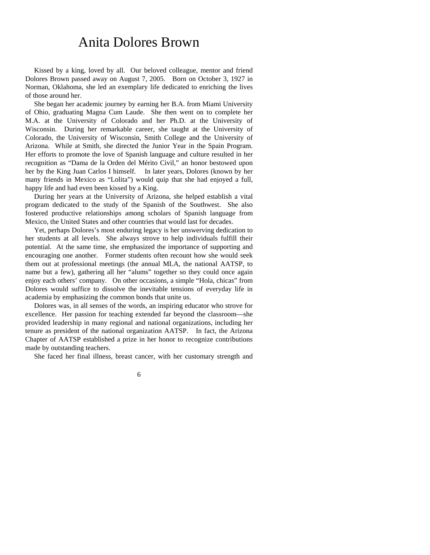# Anita Dolores Brown

 Kissed by a king, loved by all. Our beloved colleague, mentor and friend Dolores Brown passed away on August 7, 2005. Born on October 3, 1927 in Norman, Oklahoma, she led an exemplary life dedicated to enriching the lives of those around her.

 She began her academic journey by earning her B.A. from Miami University of Ohio, graduating Magna Cum Laude. She then went on to complete her M.A. at the University of Colorado and her Ph.D. at the University of Wisconsin. During her remarkable career, she taught at the University of Colorado, the University of Wisconsin, Smith College and the University of Arizona. While at Smith, she directed the Junior Year in the Spain Program. Her efforts to promote the love of Spanish language and culture resulted in her recognition as "Dama de la Orden del Mérito Civil," an honor bestowed upon her by the King Juan Carlos I himself. In later years, Dolores (known by her many friends in Mexico as "Lolita") would quip that she had enjoyed a full, happy life and had even been kissed by a King.

 During her years at the University of Arizona, she helped establish a vital program dedicated to the study of the Spanish of the Southwest. She also fostered productive relationships among scholars of Spanish language from Mexico, the United States and other countries that would last for decades.

 Yet, perhaps Dolores's most enduring legacy is her unswerving dedication to her students at all levels. She always strove to help individuals fulfill their potential. At the same time, she emphasized the importance of supporting and encouraging one another. Former students often recount how she would seek them out at professional meetings (the annual MLA, the national AATSP, to name but a few), gathering all her "alums" together so they could once again enjoy each others' company. On other occasions, a simple "Hola, chicas" from Dolores would suffice to dissolve the inevitable tensions of everyday life in academia by emphasizing the common bonds that unite us.

 Dolores was, in all senses of the words, an inspiring educator who strove for excellence. Her passion for teaching extended far beyond the classroom—she provided leadership in many regional and national organizations, including her tenure as president of the national organization AATSP. In fact, the Arizona Chapter of AATSP established a prize in her honor to recognize contributions made by outstanding teachers.

She faced her final illness, breast cancer, with her customary strength and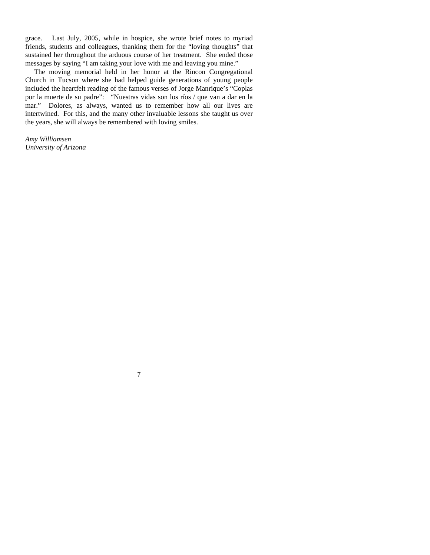grace. Last July, 2005, while in hospice, she wrote brief notes to myriad friends, students and colleagues, thanking them for the "loving thoughts" that sustained her throughout the arduous course of her treatment. She ended those messages by saying "I am taking your love with me and leaving you mine."

 The moving memorial held in her honor at the Rincon Congregational Church in Tucson where she had helped guide generations of young people included the heartfelt reading of the famous verses of Jorge Manrique's "Coplas por la muerte de su padre": "Nuestras vidas son los ríos / que van a dar en la mar." Dolores, as always, wanted us to remember how all our lives are intertwined. For this, and the many other invaluable lessons she taught us over the years, she will always be remembered with loving smiles.

*Amy Williamsen University of Arizona*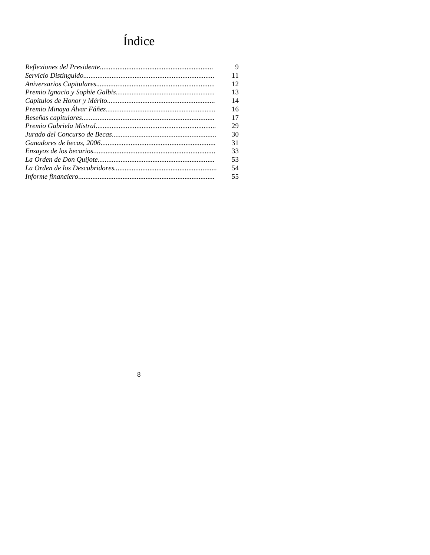# Índice

| 9  |
|----|
| 11 |
| 12 |
| 13 |
| 14 |
| 16 |
| 17 |
| 29 |
| 30 |
| 31 |
| 33 |
| 53 |
| 54 |
| 55 |
|    |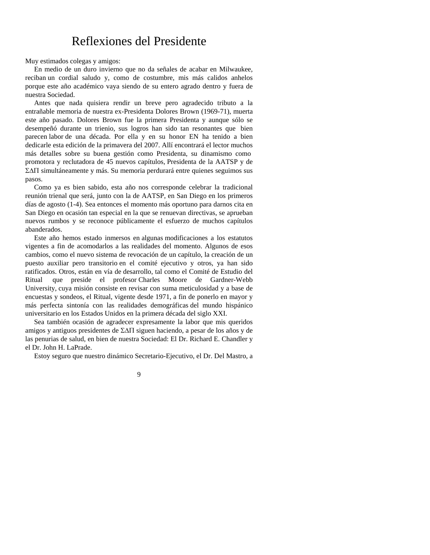### Reflexiones del Presidente

Muy estimados colegas y amigos:

 En medio de un duro invierno que no da señales de acabar en Milwaukee, reciban un cordial saludo y, como de costumbre, mis más calidos anhelos porque este año académico vaya siendo de su entero agrado dentro y fuera de nuestra Sociedad.

 Antes que nada quisiera rendir un breve pero agradecido tributo a la entrañable memoria de nuestra ex-Presidenta Dolores Brown (1969-71), muerta este año pasado. Dolores Brown fue la primera Presidenta y aunque sólo se desempeñó durante un trienio, sus logros han sido tan resonantes que bien parecen labor de una década. Por ella y en su honor EN ha tenido a bien dedicarle esta edición de la primavera del 2007. Allí encontrará el lector muchos más detalles sobre su buena gestión como Presidenta, su dinamismo como promotora y reclutadora de 45 nuevos capítulos, Presidenta de la AATSP y de ΣΔΠ simultáneamente y más. Su memoria perdurará entre quienes seguimos sus pasos.

 Como ya es bien sabido, esta año nos corresponde celebrar la tradicional reunión trienal que será, junto con la de AATSP, en San Diego en los primeros días de agosto (1-4). Sea entonces el momento más oportuno para darnos cita en San Diego en ocasión tan especial en la que se renuevan directivas, se aprueban nuevos rumbos y se reconoce públicamente el esfuerzo de muchos capítulos abanderados.

 Este año hemos estado inmersos en algunas modificaciones a los estatutos vigentes a fin de acomodarlos a las realidades del momento. Algunos de esos cambios, como el nuevo sistema de revocación de un capítulo, la creación de un puesto auxiliar pero transitorio en el comité ejecutivo y otros, ya han sido ratificados. Otros, están en vía de desarrollo, tal como el Comité de Estudio del Ritual que preside el profesor Charles Moore de Gardner-Webb University, cuya misión consiste en revisar con suma meticulosidad y a base de encuestas y sondeos, el Ritual, vigente desde 1971, a fin de ponerlo en mayor y más perfecta sintonía con las realidades demográficas del mundo hispánico universitario en los Estados Unidos en la primera década del siglo XXI.

 Sea también ocasión de agradecer expresamente la labor que mis queridos amigos y antiguos presidentes de ΣΔΠ siguen haciendo, a pesar de los años y de las penurias de salud, en bien de nuestra Sociedad: El Dr. Richard E. Chandler y el Dr. John H. LaPrade.

Estoy seguro que nuestro dinámico Secretario-Ejecutivo, el Dr. Del Mastro, a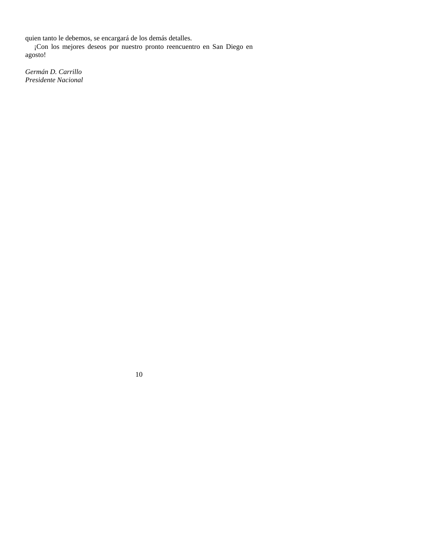quien tanto le debemos, se encargará de los demás detalles.

 ¡Con los mejores deseos por nuestro pronto reencuentro en San Diego en agosto!

*Germán D. Carrillo Presidente Nacional*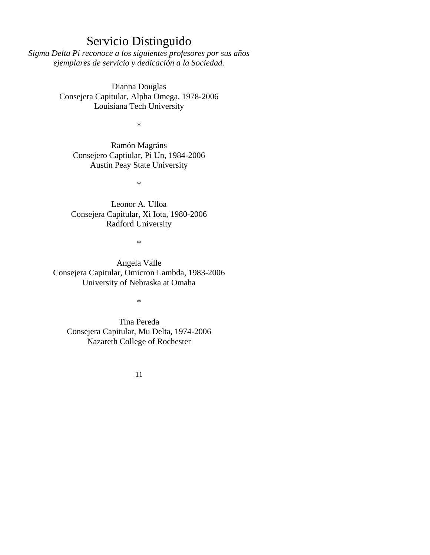### Servicio Distinguido

*Sigma Delta Pi reconoce a los siguientes profesores por sus años ejemplares de servicio y dedicación a la Sociedad.* 

> Dianna Douglas Consejera Capitular, Alpha Omega, 1978-2006 Louisiana Tech University

> > \*

Ramón Magráns Consejero Captiular, Pi Un, 1984-2006 Austin Peay State University

\*

Leonor A. Ulloa Consejera Capitular, Xi Iota, 1980-2006 Radford University

\*

Angela Valle Consejera Capitular, Omicron Lambda, 1983-2006 University of Nebraska at Omaha

\*

Tina Pereda Consejera Capitular, Mu Delta, 1974-2006 Nazareth College of Rochester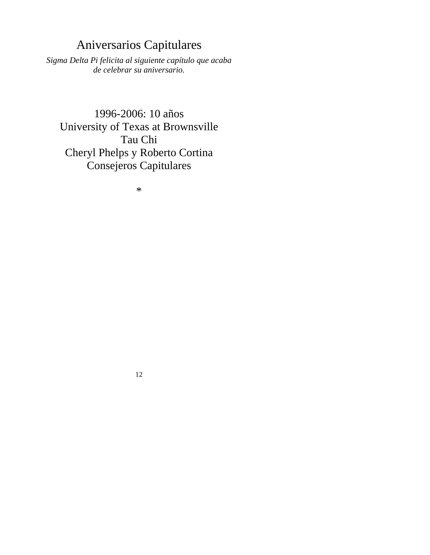# Aniversarios Capitulares

*Sigma Delta Pi felicita al siguiente capítulo que acaba de celebrar su aniversario.* 

# 1996-2006: 10 años University of Texas at Brownsville Tau Chi Cheryl Phelps y Roberto Cortina Consejeros Capitulares

\*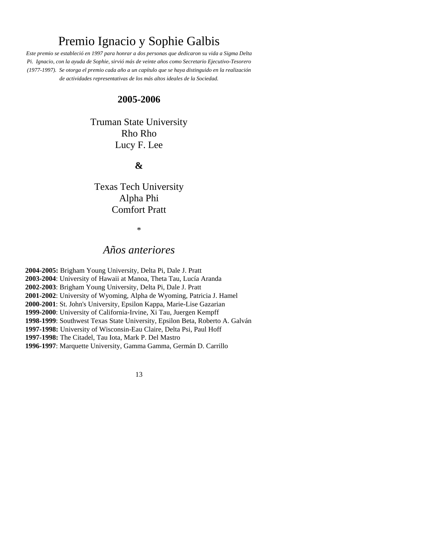# Premio Ignacio y Sophie Galbis

*Este premio se estableció en 1997 para honrar a dos personas que dedicaron su vida a Sigma Delta Pi. Ignacio, con la ayuda de Sophie, sirvió más de veinte años como Secretario Ejecutivo-Tesorero (1977-1997). Se otorga el premio cada año a un capítulo que se haya distinguido en la realización de actividades representativas de los más altos ideales de la Sociedad.* 

### **2005-2006**

Truman State University Rho Rho Lucy F. Lee

### **&**

Texas Tech University Alpha Phi Comfort Pratt

#### \*

### *Años anteriores*

**2004-2005:** Brigham Young University, Delta Pi, Dale J. Pratt **2003-2004**: University of Hawaii at Manoa, Theta Tau, Lucía Aranda **2002-2003**: Brigham Young University, Delta Pi, Dale J. Pratt **2001-2002**: University of Wyoming, Alpha de Wyoming, Patricia J. Hamel **2000-2001**: St. John's University, Epsilon Kappa, Marie-Lise Gazarian **1999-2000**: University of California-Irvine, Xi Tau, Juergen Kempff **1998-1999**: Southwest Texas State University, Epsilon Beta, Roberto A. Galván **1997-1998:** University of Wisconsin-Eau Claire, Delta Psi, Paul Hoff **1997-1998:** The Citadel, Tau Iota, Mark P. Del Mastro **1996-1997**: Marquette University, Gamma Gamma, Germán D. Carrillo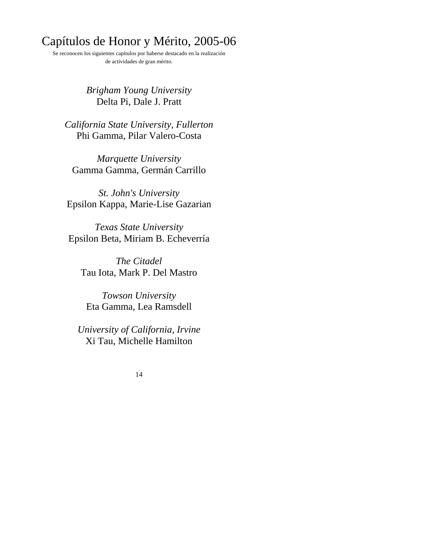# Capítulos de Honor y Mérito, 2005-06

Se reconocen los siguientes capítulos por haberse destacado en la realización de actividades de gran mérito.

### *Brigham Young University* Delta Pi, Dale J. Pratt

*California State University, Fullerton* Phi Gamma, Pilar Valero-Costa

*Marquette University* Gamma Gamma, Germán Carrillo

*St. John's University* Epsilon Kappa, Marie-Lise Gazarian

*Texas State University* Epsilon Beta, Miriam B. Echeverría

*The Citadel* Tau Iota, Mark P. Del Mastro

*Towson University* Eta Gamma, Lea Ramsdell

*University of California, Irvine* Xi Tau, Michelle Hamilton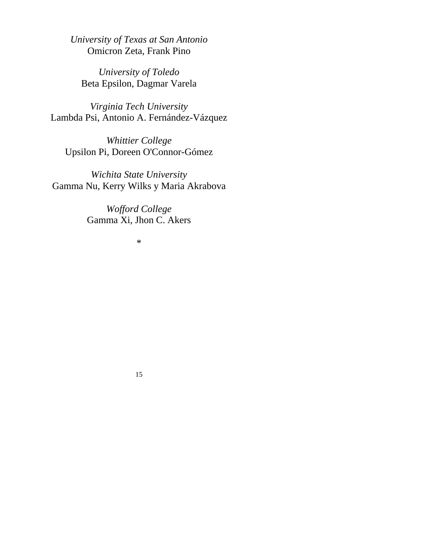*University of Texas at San Antonio* Omicron Zeta, Frank Pino

*University of Toledo* Beta Epsilon, Dagmar Varela

*Virginia Tech University* Lambda Psi, Antonio A. Fernández-Vázquez

*Whittier College* Upsilon Pi, Doreen O'Connor-Gómez

*Wichita State University* Gamma Nu, Kerry Wilks y Maria Akrabova

> *Wofford College* Gamma Xi, Jhon C. Akers

> > \*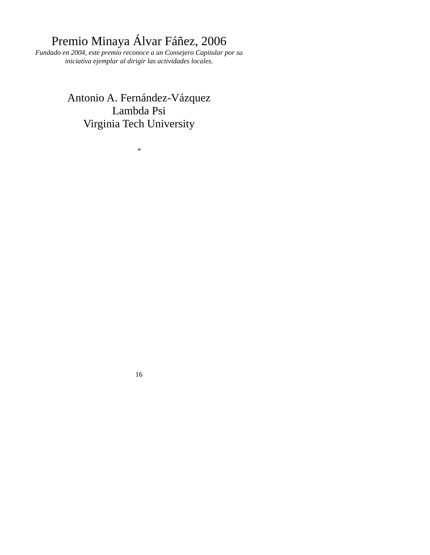# Premio Minaya Álvar Fáñez, 2006

*Fundado en 2004, este premio reconoce a un Consejero Capitular por su iniciativa ejemplar al dirigir las actividades locales.* 

> Antonio A. Fernández-Vázquez Lambda Psi Virginia Tech University

> > *\**

16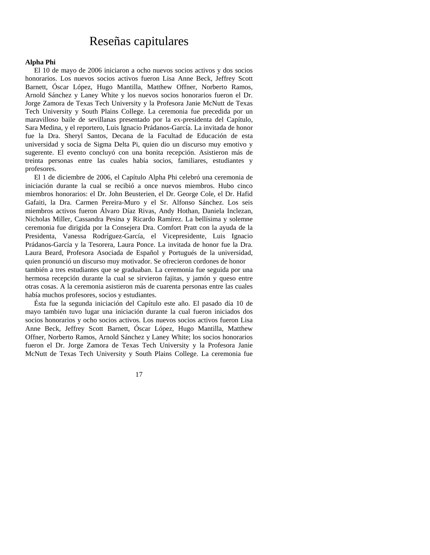### Reseñas capitulares

#### **Alpha Phi**

 El 10 de mayo de 2006 iniciaron a ocho nuevos socios activos y dos socios honorarios. Los nuevos socios activos fueron Lisa Anne Beck, Jeffrey Scott Barnett, Óscar López, Hugo Mantilla, Matthew Offner, Norberto Ramos, Arnold Sánchez y Laney White y los nuevos socios honorarios fueron el Dr. Jorge Zamora de Texas Tech University y la Profesora Janie McNutt de Texas Tech University y South Plains College. La ceremonia fue precedida por un maravilloso baile de sevillanas presentado por la ex-presidenta del Capítulo, Sara Medina, y el reportero, Luis Ignacio Prádanos-García. La invitada de honor fue la Dra. Sheryl Santos, Decana de la Facultad de Educación de esta universidad y socia de Sigma Delta Pi, quien dio un discurso muy emotivo y sugerente. El evento concluyó con una bonita recepción. Asistieron más de treinta personas entre las cuales había socios, familiares, estudiantes y profesores.

El 1 de diciembre de 2006, el Capítulo Alpha Phi celebró una ceremonia de iniciación durante la cual se recibió a once nuevos miembros. Hubo cinco miembros honorarios: el Dr. John Beusterien, el Dr. George Cole, el Dr. Hafid Gafaiti, la Dra. Carmen Pereira-Muro y el Sr. Alfonso Sánchez. Los seis miembros activos fueron Álvaro Díaz Rivas, Andy Hothan, Daniela Inclezan, Nicholas Miller, Cassandra Pesina y Ricardo Ramírez. La bellísima y solemne ceremonia fue dirigida por la Consejera Dra. Comfort Pratt con la ayuda de la Presidenta, Vanessa Rodríguez-García, el Vicepresidente, Luis Ignacio Prádanos-García y la Tesorera, Laura Ponce. La invitada de honor fue la Dra. Laura Beard, Profesora Asociada de Español y Portugués de la universidad, quien pronunció un discurso muy motivador. Se ofrecieron cordones de honor también a tres estudiantes que se graduaban. La ceremonia fue seguida por una hermosa recepción durante la cual se sirvieron fajitas, y jamón y queso entre otras cosas. A la ceremonia asistieron más de cuarenta personas entre las cuales había muchos profesores, socios y estudiantes.

 Ésta fue la segunda iniciación del Capítulo este año. El pasado día 10 de mayo también tuvo lugar una iniciación durante la cual fueron iniciados dos socios honorarios y ocho socios activos. Los nuevos socios activos fueron Lisa Anne Beck, Jeffrey Scott Barnett, Óscar López, Hugo Mantilla, Matthew Offner, Norberto Ramos, Arnold Sánchez y Laney White; los socios honorarios fueron el Dr. Jorge Zamora de Texas Tech University y la Profesora Janie McNutt de Texas Tech University y South Plains College. La ceremonia fue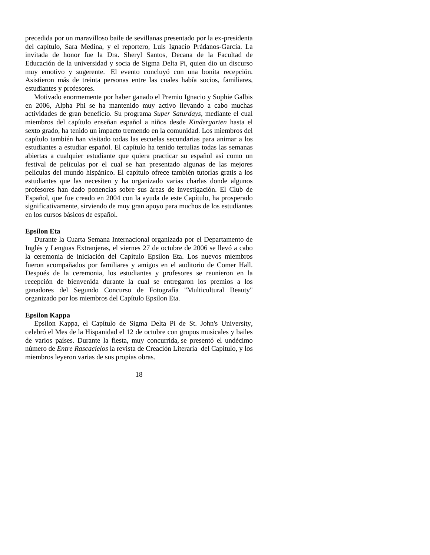precedida por un maravilloso baile de sevillanas presentado por la ex-presidenta del capítulo, Sara Medina, y el reportero, Luis Ignacio Prádanos-García. La invitada de honor fue la Dra. Sheryl Santos, Decana de la Facultad de Educación de la universidad y socia de Sigma Delta Pi, quien dio un discurso muy emotivo y sugerente. El evento concluyó con una bonita recepción. Asistieron más de treinta personas entre las cuales había socios, familiares, estudiantes y profesores.

 Motivado enormemente por haber ganado el Premio Ignacio y Sophie Galbis en 2006, Alpha Phi se ha mantenido muy activo llevando a cabo muchas actividades de gran beneficio. Su programa *Super Saturdays*, mediante el cual miembros del capítulo enseñan español a niños desde *Kindergarten* hasta el sexto grado, ha tenido un impacto tremendo en la comunidad. Los miembros del capítulo también han visitado todas las escuelas secundarias para animar a los estudiantes a estudiar español. El capítulo ha tenido tertulias todas las semanas abiertas a cualquier estudiante que quiera practicar su español así como un festival de películas por el cual se han presentado algunas de las mejores películas del mundo hispánico. El capítulo ofrece también tutorías gratis a los estudiantes que las necesiten y ha organizado varias charlas donde algunos profesores han dado ponencias sobre sus áreas de investigación. El Club de Español, que fue creado en 2004 con la ayuda de este Capítulo, ha prosperado significativamente, sirviendo de muy gran apoyo para muchos de los estudiantes en los cursos básicos de español.

#### **Epsilon Eta**

 Durante la Cuarta Semana Internacional organizada por el Departamento de Inglés y Lenguas Extranjeras, el viernes 27 de octubre de 2006 se llevó a cabo la ceremonia de iniciación del Capítulo Epsilon Eta. Los nuevos miembros fueron acompañados por familiares y amigos en el auditorio de Comer Hall. Después de la ceremonia, los estudiantes y profesores se reunieron en la recepción de bienvenida durante la cual se entregaron los premios a los ganadores del Segundo Concurso de Fotografía "Multicultural Beauty" organizado por los miembros del Capítulo Epsilon Eta.

#### **Epsilon Kappa**

 Epsilon Kappa, el Capítulo de Sigma Delta Pi de St. John's University, celebró el Mes de la Hispanidad el 12 de octubre con grupos musicales y bailes de varios países. Durante la fiesta, muy concurrida, se presentó el undécimo número de *Entre Rascacielos* la revista de Creación Literaria del Capítulo, y los miembros leyeron varias de sus propias obras.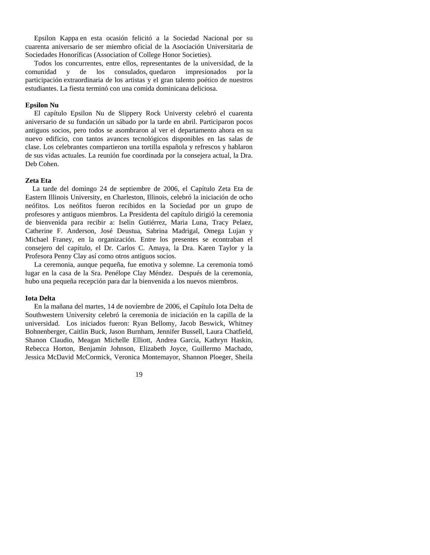Epsilon Kappa en esta ocasión felicitó a la Sociedad Nacional por su cuarenta aniversario de ser miembro oficial de la Asociación Universitaria de Sociedades Honoríficas (Association of College Honor Societies).

 Todos los concurrentes, entre ellos, representantes de la universidad, de la comunidad y de los consulados, quedaron impresionados por la participación extraordinaria de los artistas y el gran talento poético de nuestros estudiantes. La fiesta terminó con una comida dominicana deliciosa.

#### **Epsilon Nu**

 El capítulo Epsilon Nu de Slippery Rock Universty celebró el cuarenta aniversario de su fundación un sábado por la tarde en abril. Participaron pocos antiguos socios, pero todos se asombraron al ver el departamento ahora en su nuevo edificio, con tantos avances tecnológicos disponibles en las salas de clase. Los celebrantes compartieron una tortilla española y refrescos y hablaron de sus vidas actuales. La reunión fue coordinada por la consejera actual, la Dra. Deb Cohen.

#### **Zeta Eta**

La tarde del domingo 24 de septiembre de 2006, el Capítulo Zeta Eta de Eastern Illinois University, en Charleston, Illinois, celebró la iniciación de ocho neófitos. Los neófitos fueron recibidos en la Sociedad por un grupo de profesores y antiguos miembros. La Presidenta del capítulo dirigió la ceremonia de bienvenida para recibir a: Iselin Gutiérrez, Maria Luna, Tracy Pelaez, Catherine F. Anderson, José Deustua, Sabrina Madrigal, Omega Lujan y Michael Franey, en la organización. Entre los presentes se econtraban el consejero del capítulo, el Dr. Carlos C. Amaya, la Dra. Karen Taylor y la Profesora Penny Clay así como otros antiguos socios.

 La ceremonia, aunque pequeña, fue emotiva y solemne. La ceremonia tomó lugar en la casa de la Sra. Penélope Clay Méndez. Después de la ceremonia, hubo una pequeña recepción para dar la bienvenida a los nuevos miembros.

#### **Iota Delta**

 En la mañana del martes, 14 de noviembre de 2006, el Capítulo Iota Delta de Southwestern University celebró la ceremonia de iniciación en la capilla de la universidad. Los iniciados fueron: Ryan Bellomy, Jacob Beswick, Whitney Bohnenberger, Caitlin Buck, Jason Burnham, Jennifer Bussell, Laura Chatfield, Shanon Claudio, Meagan Michelle Elliott, Andrea García, Kathryn Haskin, Rebecca Horton, Benjamin Johnson, Elizabeth Joyce, Guillermo Machado, Jessica McDavid McCormick, Veronica Montemayor, Shannon Ploeger, Sheila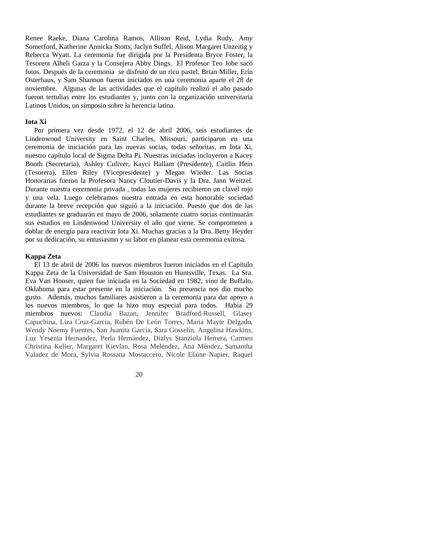Renee Raeke, Diana Carolina Ramos, Allison Reid, Lydia Rudy, Amy Somerford, Katherine Annicka Stotts, Jaclyn Suffel, Alison Margaret Unzeitig y Rebecca Wyatt. La ceremonia fue dirigida por la Presidenta Bryce Foster, la Tesorera Alheli Garza y la Consejera Abby Dings. El Profesor Teo Jobe sacó fotos. Después de la ceremonia se disfrutó de un rico pastel. Brian Miller, Erin Osterhaus, y Sam Shannon fueron iniciados en una ceremonia aparte el 28 de noviembre. Algunas de las actividades que el capítulo realizó el año pasado fueron tertulias entre los estudiantes y, junto con la organización universitaria Latinos Unidos, un simposio sobre la herencia latina.

#### **Iota Xi**

 Por primera vez desde 1972, el 12 de abril 2006, seis estudiantes de Lindenwood University en Saint Charles, Missouri, participaron en una ceremonia de iniciación para las nuevas socias, todas señoritas, en Iota Xi, nuestro capítulo local de Sigma Delta Pi. Nuestras iniciadas incluyeron a Kacey Booth (Secretaria), Ashley Culiver, Kayci Hallam (Presidente), Caitlin Hein (Tesorera), Ellen Riley (Vicepresidente) y Megan Wieder. Las Socias Honorarias fueron la Profesora Nancy Cloutier-Davis y la Dra. Jann Weitzel. Durante nuestra ceremonia privada , todas las mujeres recibieron un clavel rojo y una vela. Luego celebramos nuestra entrada en esta honorable sociedad durante la breve recepción que siguió a la iniciación. Puesto que dos de las estudiantes se graduarán en mayo de 2006, solamente cuatro socias continuarán sus estudios en Lindenwood University el año que viene. Se comprometen a doblar de energía para reactivar Iota Xi. Muchas gracias a la Dra. Betty Heyder por su dedicación, su entusiasmo y su labor en planear esta ceremonia exitosa.

#### **Kappa Zeta**

 El 13 de abril de 2006 los nuevos miembros fueron iniciados en el Capítulo Kappa Zeta de la Universidad de Sam Houston en Huntsville, Texas. La Sra. Eva Van Hooser, quien fue iniciada en la Sociedad en 1982, vino de Buffalo, Oklahoma para estar presente en la iniciación. Su presencia nos dio mucho gusto. Además, muchos familiares asistieron a la ceremonia para dar apoyo a los nuevos miembros, lo que la hizo muy especial para todos. Había 29 miembros nuevos: Claudia Bazan, Jennifer Bradford-Russell, Glasey Capuchina, Liza Cruz-Garcia, Rubén De León Torres, Maria Mayte Delgado, Wendy Noemy Fuentes, San Juanita Garcia, Sara Gosselin, Angelina Hawkins, Luz Yesenia Hernandez, Perla Hernández, Dialys Stanziola Herrera, Carmen Christina Keller, Margaret Kievlan, Rosa Meléndez, Ana Méndez, Samantha Valadez de Mora, Sylvia Rossana Mostaccero, Nicole Elaine Napier, Raquel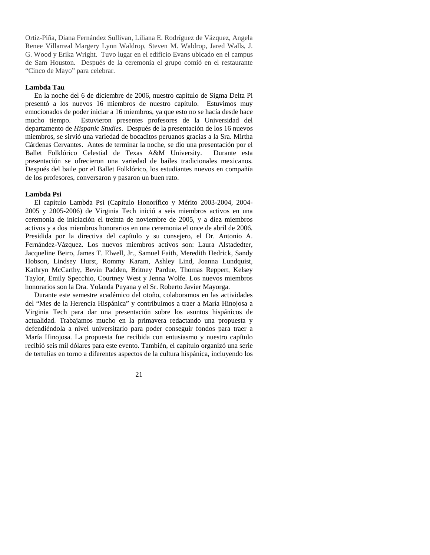Ortiz-Piña, Diana Fernández Sullivan, Liliana E. Rodríguez de Vázquez, Angela Renee Villarreal Margery Lynn Waldrop, Steven M. Waldrop, Jared Walls, J. G. Wood y Erika Wright. Tuvo lugar en el edificio Evans ubicado en el campus de Sam Houston. Después de la ceremonia el grupo comió en el restaurante "Cinco de Mayo" para celebrar.

#### **Lambda Tau**

En la noche del 6 de diciembre de 2006, nuestro capítulo de Sigma Delta Pi presentó a los nuevos 16 miembros de nuestro capítulo. Estuvimos muy emocionados de poder iniciar a 16 miembros, ya que esto no se hacía desde hace mucho tiempo. Estuvieron presentes profesores de la Universidad del departamento de *Hispanic Studies*. Después de la presentación de los 16 nuevos miembros, se sirvió una variedad de bocaditos peruanos gracias a la Sra. Mirtha Cárdenas Cervantes. Antes de terminar la noche, se dio una presentación por el Ballet Folklórico Celestial de Texas A&M University. Durante esta presentación se ofrecieron una variedad de bailes tradicionales mexicanos. Después del baile por el Ballet Folklórico, los estudiantes nuevos en compañía de los profesores, conversaron y pasaron un buen rato.

#### **Lambda Psi**

 El capítulo Lambda Psi (Capítulo Honorífico y Mérito 2003-2004, 2004- 2005 y 2005-2006) de Virginia Tech inició a seis miembros activos en una ceremonia de iniciación el treinta de noviembre de 2005, y a diez miembros activos y a dos miembros honorarios en una ceremonia el once de abril de 2006. Presidida por la directiva del capítulo y su consejero, el Dr. Antonio A. Fernández-Vázquez. Los nuevos miembros activos son: Laura Alstadedter, Jacqueline Beiro, James T. Elwell, Jr., Samuel Faith, Meredith Hedrick, Sandy Hobson, Lindsey Hurst, Rommy Karam, Ashley Lind, Joanna Lundquist, Kathryn McCarthy, Bevin Padden, Britney Pardue, Thomas Reppert, Kelsey Taylor, Emily Specchio, Courtney West y Jenna Wolfe. Los nuevos miembros honorarios son la Dra. Yolanda Puyana y el Sr. Roberto Javier Mayorga.

 Durante este semestre académico del otoño, colaboramos en las actividades del "Mes de la Herencia Hispánica" y contribuimos a traer a María Hinojosa a Virginia Tech para dar una presentación sobre los asuntos hispánicos de actualidad. Trabajamos mucho en la primavera redactando una propuesta y defendiéndola a nivel universitario para poder conseguir fondos para traer a María Hinojosa. La propuesta fue recibida con entusiasmo y nuestro capítulo recibió seis mil dólares para este evento. También, el capítulo organizó una serie de tertulias en torno a diferentes aspectos de la cultura hispánica, incluyendo los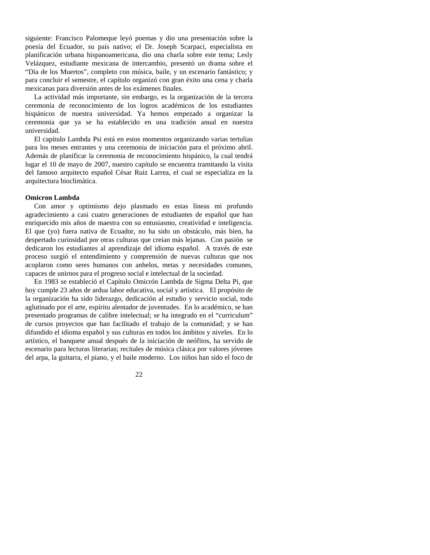siguiente: Francisco Palomeque leyó poemas y dio una presentación sobre la poesía del Ecuador, su país nativo; el Dr. Joseph Scarpaci, especialista en planificación urbana hispanoamericana, dio una charla sobre este tema; Lesly Velázquez, estudiante mexicana de intercambio, presentó un drama sobre el "Día de los Muertos", completo con música, baile, y un escenario fantástico; y para concluir el semestre, el capítulo organizó con gran éxito una cena y charla mexicanas para diversión antes de los exámenes finales.

 La actividad más importante, sin embargo, es la organización de la tercera ceremonia de reconocimiento de los logros académicos de los estudiantes hispánicos de nuestra universidad. Ya hemos empezado a organizar la ceremonia que ya se ha establecido en una tradición anual en nuestra universidad.

 El capítulo Lambda Psi está en estos momentos organizando varias tertulias para los meses entrantes y una ceremonia de iniciación para el próximo abril. Además de planificar la ceremonia de reconocimiento hispánico, la cual tendrá lugar el 10 de mayo de 2007, nuestro capítulo se encuentra tramitando la visita del famoso arquitecto español César Ruiz Larrea, el cual se especializa en la arquitectura bioclimática.

#### **Omicron Lambda**

 Con amor y optimismo dejo plasmado en estas líneas mi profundo agradecimiento a casi cuatro generaciones de estudiantes de español que han enriquecido mis años de maestra con su entusiasmo, creatividad e inteligencia. El que (yo) fuera nativa de Ecuador, no ha sido un obstáculo, más bien, ha despertado curiosidad por otras culturas que creían más lejanas. Con pasión se dedicaron los estudiantes al aprendizaje del idioma español. A través de este proceso surgió el entendimiento y comprensión de nuevas culturas que nos acoplaron como seres humanos con anhelos, metas y necesidades comunes, capaces de unirnos para el progreso social e intelectual de la sociedad.

 En 1983 se estableció el Capítulo Omicrón Lambda de Sigma Delta Pi, que hoy cumple 23 años de ardua labor educativa, social y artística. El propósito de la organización ha sido liderazgo, dedicación al estudio y servicio social, todo aglutinado por el arte, espíritu alentador de juventudes. En lo académico, se han presentado programas de calibre intelectual; se ha integrado en el "curriculum" de cursos proyectos que han facilitado el trabajo de la comunidad; y se han difundido el idioma español y sus culturas en todos los ámbitos y niveles. En lo artístico, el banquete anual después de la iniciación de neófitos, ha servido de escenario para lecturas literarias; recitales de música clásica por valores jóvenes del arpa, la guitarra, el piano, y el baile moderno. Los niños han sido el foco de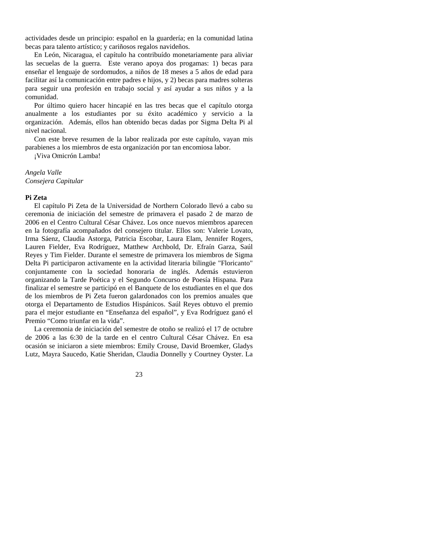actividades desde un principio: español en la guardería; en la comunidad latina becas para talento artístico; y cariñosos regalos navideños.

 En León, Nicaragua, el capítulo ha contribuído monetariamente para aliviar las secuelas de la guerra. Este verano apoya dos progamas: 1) becas para enseñar el lenguaje de sordomudos, a niños de 18 meses a 5 años de edad para facilitar así la comunicación entre padres e hijos, y 2) becas para madres solteras para seguir una profesión en trabajo social y así ayudar a sus niños y a la comunidad.

 Por último quiero hacer hincapié en las tres becas que el capítulo otorga anualmente a los estudiantes por su éxito académico y servicio a la organización. Además, ellos han obtenido becas dadas por Sigma Delta Pi al nivel nacional.

 Con este breve resumen de la labor realizada por este capítulo, vayan mis parabienes a los miembros de esta organización por tan encomiosa labor.

¡Viva Omicrón Lamba!

*Angela Valle Consejera Capitular* 

#### **Pi Zeta**

 El capítulo Pi Zeta de la Universidad de Northern Colorado llevó a cabo su ceremonia de iniciación del semestre de primavera el pasado 2 de marzo de 2006 en el Centro Cultural César Chávez. Los once nuevos miembros aparecen en la fotografía acompañados del consejero titular. Ellos son: Valerie Lovato, Irma Sáenz, Claudia Astorga, Patricia Escobar, Laura Elam, Jennifer Rogers, Lauren Fielder, Eva Rodríguez, Matthew Archbold, Dr. Efraín Garza, Saúl Reyes y Tim Fielder. Durante el semestre de primavera los miembros de Sigma Delta Pi participaron activamente en la actividad literaria bilingüe "Floricanto" conjuntamente con la sociedad honoraria de inglés. Además estuvieron organizando la Tarde Poética y el Segundo Concurso de Poesía Hispana. Para finalizar el semestre se participó en el Banquete de los estudiantes en el que dos de los miembros de Pi Zeta fueron galardonados con los premios anuales que otorga el Departamento de Estudios Hispánicos. Saúl Reyes obtuvo el premio para el mejor estudiante en "Enseñanza del español", y Eva Rodríguez ganó el Premio "Como triunfar en la vida".

 La ceremonia de iniciación del semestre de otoño se realizó el 17 de octubre de 2006 a las 6:30 de la tarde en el centro Cultural César Chávez. En esa ocasión se iniciaron a siete miembros: Emily Crouse, David Broemker, Gladys Lutz, Mayra Saucedo, Katie Sheridan, Claudia Donnelly y Courtney Oyster. La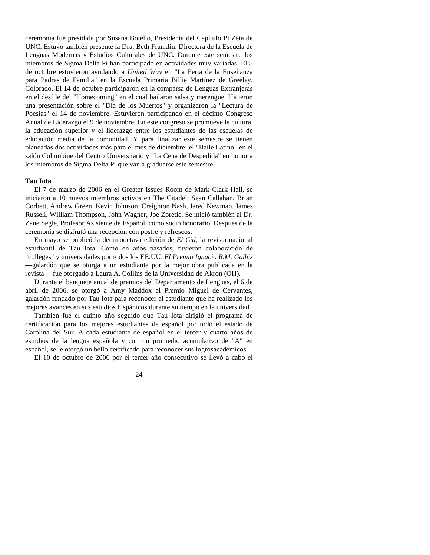ceremonia fue presidida por Susana Botello, Presidenta del Capítulo Pi Zeta de UNC. Estuvo también presente la Dra. Beth Franklin, Directora de la Escuela de Lenguas Modernas y Estudios Culturales de UNC. Durante este semestre los miembros de Sigma Delta Pi han participado en actividades muy variadas. El 5 de octubre estuvieron ayudando a *United Way* en "La Feria de la Enseñanza para Padres de Familia" en la Escuela Primaria Billie Martínez de Greeley, Colorado. El 14 de octubre participaron en la comparsa de Lenguas Extranjeras en el desfile del "Homecoming" en el cual bailaron salsa y merengue. Hicieron una presentación sobre el "Día de los Muertos" y organizaron la "Lectura de Poesías" el 14 de noviembre. Estuvieron participando en el décimo Congreso Anual de Liderazgo el 9 de noviembre. En este congreso se promueve la cultura, la educación superior y el liderazgo entre los estudiantes de las escuelas de educación media de la comunidad. Y para finalizar este semestre se tienen planeadas dos actividades más para el mes de diciembre: el "Baile Latino" en el salón Columbine del Centro Universitario y "La Cena de Despedida" en honor a los miembros de Sigma Delta Pi que van a graduarse este semestre.

#### **Tau Iota**

El 7 de marzo de 2006 en el Greater Issues Room de Mark Clark Hall, se iniciaron a 10 nuevos miembros activos en The Citadel: Sean Callahan, Brian Corbett, Andrew Green, Kevin Johnson, Creighton Nash, Jared Newman, James Russell, William Thompson, John Wagner, Joe Zoretic. Se inició también al Dr. Zane Segle, Profesor Asistente de Español, como socio honorario. Después de la ceremonia se disfrutó una recepción con postre y refrescos.

 En mayo se publicó la decimooctava edición de *El Cid*, la revista nacional estudiantil de Tau Iota. Como en años pasados, tuvieron colaboración de "colleges" y universidades por todos los EE.UU. *El Premio Ignacio R.M. Galbis* —galardón que se otorga a un estudiante por la mejor obra publicada en la revista— fue otorgado a Laura A. Collins de la Universidad de Akron (OH).

 Durante el banquete anual de premios del Departamento de Lenguas, el 6 de abril de 2006, se otorgó a Amy Maddox el Premio Miguel de Cervantes, galardón fundado por Tau Iota para reconocer al estudiante que ha realizado los mejores avances en sus estudios hispánicos durante su tiempo en la universidad.

 También fue el quinto año seguido que Tau Iota dirigió el programa de certificación para los mejores estudiantes de español por todo el estado de Carolina del Sur. A cada estudiante de español en el tercer y cuarto años de estudios de la lengua española y con un promedio acumulativo de "A" en español, se le otorgó un bello certificado para reconocer sus logrosacadémicos.

El 10 de octubre de 2006 por el tercer año consecutivo se llevó a cabo el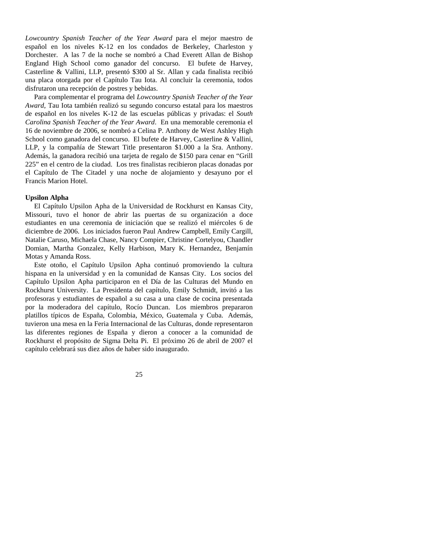*Lowcountry Spanish Teacher of the Year Award* para el mejor maestro de español en los niveles K-12 en los condados de Berkeley, Charleston y Dorchester. A las 7 de la noche se nombró a Chad Everett Allan de Bishop England High School como ganador del concurso. El bufete de Harvey, Casterline & Vallini, LLP, presentó \$300 al Sr. Allan y cada finalista recibió una placa otorgada por el Capítulo Tau Iota. Al concluir la ceremonia, todos disfrutaron una recepción de postres y bebidas.

 Para complementar el programa del *Lowcountry Spanish Teacher of the Year Award*, Tau Iota también realizó su segundo concurso estatal para los maestros de español en los niveles K-12 de las escuelas públicas y privadas: el *South Carolina Spanish Teacher of the Year Award*. En una memorable ceremonia el 16 de noviembre de 2006, se nombró a Celina P. Anthony de West Ashley High School como ganadora del concurso. El bufete de Harvey, Casterline & Vallini, LLP, y la compañía de Stewart Title presentaron \$1.000 a la Sra. Anthony. Además, la ganadora recibió una tarjeta de regalo de \$150 para cenar en "Grill 225" en el centro de la ciudad. Los tres finalistas recibieron placas donadas por el Capítulo de The Citadel y una noche de alojamiento y desayuno por el Francis Marion Hotel.

#### **Upsilon Alpha**

 El Capítulo Upsilon Apha de la Universidad de Rockhurst en Kansas City, Missouri, tuvo el honor de abrir las puertas de su organización a doce estudiantes en una ceremonia de iniciación que se realizó el miércoles 6 de diciembre de 2006. Los iniciados fueron Paul Andrew Campbell, Emily Cargill, Natalie Caruso, Michaela Chase, Nancy Compier, Christine Cortelyou, Chandler Domian, Martha Gonzalez, Kelly Harbison, Mary K. Hernandez, Benjamín Motas y Amanda Ross.

 Este otoño, el Capítulo Upsilon Apha continuó promoviendo la cultura hispana en la universidad y en la comunidad de Kansas City. Los socios del Capítulo Upsilon Apha participaron en el Día de las Culturas del Mundo en Rockhurst University. La Presidenta del capítulo, Emily Schmidt, invitó a las profesoras y estudiantes de español a su casa a una clase de cocina presentada por la moderadora del capítulo, Rocío Duncan. Los miembros prepararon platillos típicos de España, Colombia, México, Guatemala y Cuba. Además, tuvieron una mesa en la Feria Internacional de las Culturas, donde representaron las diferentes regiones de España y dieron a conocer a la comunidad de Rockhurst el propósito de Sigma Delta Pi. El próximo 26 de abril de 2007 el capítulo celebrará sus diez años de haber sido inaugurado.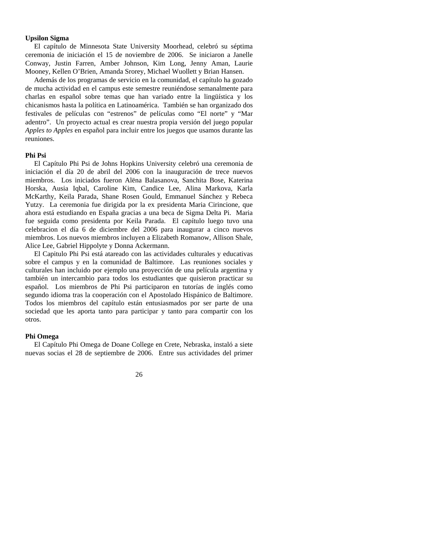#### **Upsilon Sigma**

 El capítulo de Minnesota State University Moorhead, celebró su séptima ceremonia de iniciación el 15 de noviembre de 2006. Se iniciaron a Janelle Conway, Justin Farren, Amber Johnson, Kim Long, Jenny Aman, Laurie Mooney, Kellen O'Brien, Amanda Srorey, Michael Wuollett y Brian Hansen.

 Además de los programas de servicio en la comunidad, el capítulo ha gozado de mucha actividad en el campus este semestre reuniéndose semanalmente para charlas en español sobre temas que han variado entre la lingüística y los chicanismos hasta la política en Latinoamérica. También se han organizado dos festivales de películas con "estrenos" de películas como "El norte" y "Mar adentro". Un proyecto actual es crear nuestra propia versión del juego popular *Apples to Apples* en español para incluir entre los juegos que usamos durante las reuniones.

#### **Phi Psi**

El Capítulo Phi Psi de Johns Hopkins University celebró una ceremonia de iniciación el día 20 de abril del 2006 con la inauguración de trece nuevos miembros. Los iniciados fueron Alëna Balasanova, Sanchita Bose, Katerina Horska, Ausia Iqbal, Caroline Kim, Candice Lee, Alina Markova, Karla McKarthy, Keila Parada, Shane Rosen Gould, Emmanuel Sánchez y Rebeca Yutzy. La ceremonia fue dirigida por la ex presidenta Maria Cirincione, que ahora está estudiando en España gracias a una beca de Sigma Delta Pi. Maria fue seguida como presidenta por Keila Parada. El capítulo luego tuvo una celebracion el día 6 de diciembre del 2006 para inaugurar a cinco nuevos miembros. Los nuevos miembros incluyen a Elizabeth Romanow, Allison Shale, Alice Lee, Gabriel Hippolyte y Donna Ackermann.

 El Capitulo Phi Psi está atareado con las actividades culturales y educativas sobre el campus y en la comunidad de Baltimore. Las reuniones sociales y culturales han incluido por ejemplo una proyección de una película argentina y también un intercambio para todos los estudiantes que quisieron practicar su español. Los miembros de Phi Psi participaron en tutorías de inglés como segundo idioma tras la cooperación con el Apostolado Hispánico de Baltimore. Todos los miembros del capítulo están entusiasmados por ser parte de una sociedad que les aporta tanto para participar y tanto para compartir con los otros.

#### **Phi Omega**

 El Capítulo Phi Omega de Doane College en Crete, Nebraska, instaló a siete nuevas socias el 28 de septiembre de 2006. Entre sus actividades del primer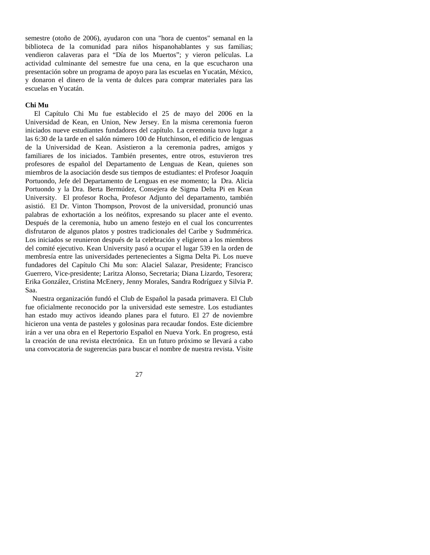semestre (otoño de 2006), ayudaron con una "hora de cuentos" semanal en la biblioteca de la comunidad para niños hispanohablantes y sus familias; vendieron calaveras para el "Día de los Muertos"; y vieron películas. La actividad culminante del semestre fue una cena, en la que escucharon una presentación sobre un programa de apoyo para las escuelas en Yucatán, México, y donaron el dinero de la venta de dulces para comprar materiales para las escuelas en Yucatán.

#### **Chi Mu**

 El Capítulo Chi Mu fue establecido el 25 de mayo del 2006 en la Universidad de Kean, en Union, New Jersey. En la misma ceremonia fueron iniciados nueve estudiantes fundadores del capítulo. La ceremonia tuvo lugar a las 6:30 de la tarde en el salón número 100 de Hutchinson, el edificio de lenguas de la Universidad de Kean. Asistieron a la ceremonia padres, amigos y familiares de los iniciados. También presentes, entre otros, estuvieron tres profesores de español del Departamento de Lenguas de Kean, quienes son miembros de la asociación desde sus tiempos de estudiantes: el Profesor Joaquín Portuondo, Jefe del Departamento de Lenguas en ese momento; la Dra. Alicia Portuondo y la Dra. Berta Bermúdez, Consejera de Sigma Delta Pi en Kean University. El profesor Rocha, Profesor Adjunto del departamento, también asistió. El Dr. Vinton Thompson, Provost de la universidad, pronunció unas palabras de exhortación a los neófitos, expresando su placer ante el evento. Después de la ceremonia, hubo un ameno festejo en el cual los concurrentes disfrutaron de algunos platos y postres tradicionales del Caribe y Sudmmérica. Los iniciados se reunieron después de la celebración y eligieron a los miembros del comité ejecutivo. Kean University pasó a ocupar el lugar 539 en la orden de membresía entre las universidades pertenecientes a Sigma Delta Pi. Los nueve fundadores del Capítulo Chi Mu son: Alaciel Salazar, Presidente; Francisco Guerrero, Vice-presidente; Laritza Alonso, Secretaria; Diana Lizardo, Tesorera; Erika González, Cristina McEnery, Jenny Morales, Sandra Rodríguez y Silvia P. Saa.

 Nuestra organización fundó el Club de Español la pasada primavera. El Club fue oficialmente reconocido por la universidad este semestre. Los estudiantes han estado muy activos ideando planes para el futuro. El 27 de noviembre hicieron una venta de pasteles y golosinas para recaudar fondos. Este diciembre irán a ver una obra en el Repertorio Español en Nueva York. En progreso, está la creación de una revista electrónica. En un futuro próximo se llevará a cabo una convocatoria de sugerencias para buscar el nombre de nuestra revista. Visite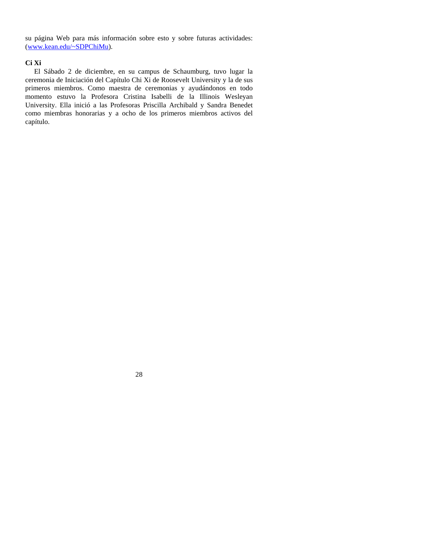su página Web para más información sobre esto y sobre futuras actividades: (www.kean.edu/~SDPChiMu).

#### **Ci Xi**

 El Sábado 2 de diciembre, en su campus de Schaumburg, tuvo lugar la ceremonia de Iniciación del Capítulo Chi Xi de Roosevelt University y la de sus primeros miembros. Como maestra de ceremonias y ayudándonos en todo momento estuvo la Profesora Cristina Isabelli de la Illinois Wesleyan University. Ella inició a las Profesoras Priscilla Archibald y Sandra Benedet como miembras honorarias y a ocho de los primeros miembros activos del capítulo.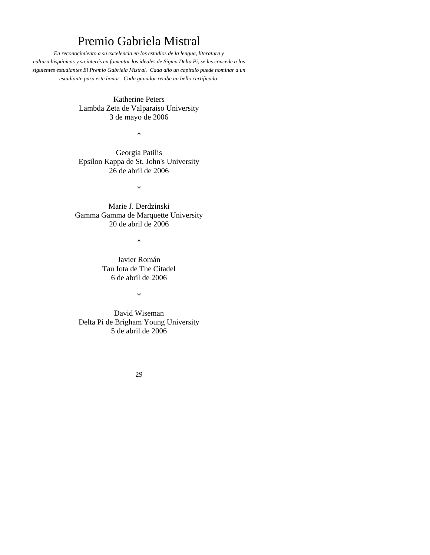# Premio Gabriela Mistral

*En reconocimiento a su excelencia en los estudios de la lengua, literatura y cultura hispánicas y su interés en fomentar los ideales de Sigma Delta Pi, se les concede a los siguientes estudiantes El Premio Gabriela Mistral. Cada año un capítulo puede nominar a un estudiante para este honor. Cada ganador recibe un bello certificado.* 

> Katherine Peters Lambda Zeta de Valparaiso University 3 de mayo de 2006

> > \*

Georgia Patilis Epsilon Kappa de St. John's University 26 de abril de 2006

\*

Marie J. Derdzinski Gamma Gamma de Marquette University 20 de abril de 2006

\*

Javier Román Tau Iota de The Citadel 6 de abril de 2006

\*

David Wiseman Delta Pi de Brigham Young University 5 de abril de 2006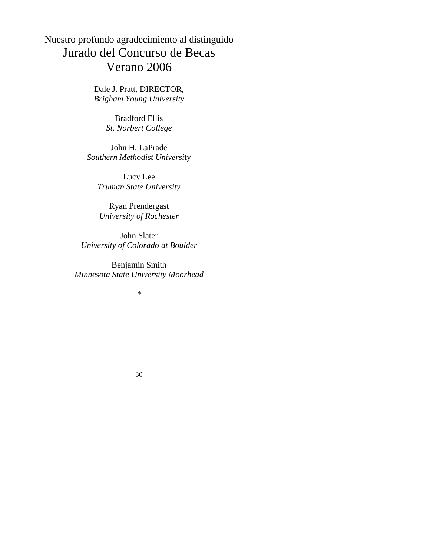# Nuestro profundo agradecimiento al distinguido Jurado del Concurso de Becas Verano 2006

Dale J. Pratt, DIRECTOR, *Brigham Young University* 

> Bradford Ellis *St. Norbert College*

John H. LaPrade *Southern Methodist Universi*ty

Lucy Lee *Truman State University* 

Ryan Prendergast *University of Rochester* 

John Slater *University of Colorado at Boulder* 

Benjamin Smith *Minnesota State University Moorhead* 

*\**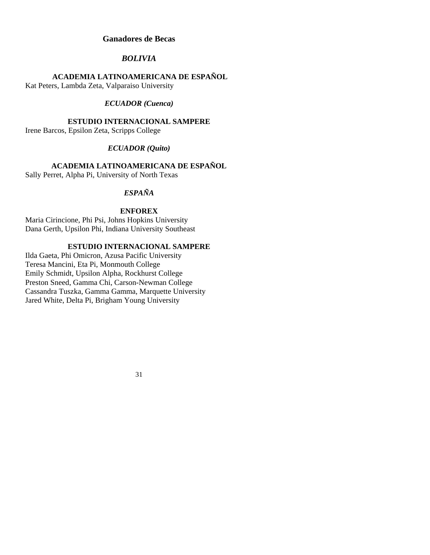#### **Ganadores de Becas**

### *BOLIVIA*

#### **ACADEMIA LATINOAMERICANA DE ESPAÑOL**

Kat Peters, Lambda Zeta, Valparaiso University

#### *ECUADOR (Cuenca)*

#### **ESTUDIO INTERNACIONAL SAMPERE**

Irene Barcos, Epsilon Zeta, Scripps College

#### *ECUADOR (Quito)*

### **ACADEMIA LATINOAMERICANA DE ESPAÑOL**

Sally Perret, Alpha Pi, University of North Texas

### *ESPAÑA*

#### **ENFOREX**

Maria Cirincione, Phi Psi, Johns Hopkins University Dana Gerth, Upsilon Phi, Indiana University Southeast

#### **ESTUDIO INTERNACIONAL SAMPERE**

Ilda Gaeta, Phi Omicron, Azusa Pacific University Teresa Mancini, Eta Pi, Monmouth College Emily Schmidt, Upsilon Alpha, Rockhurst College Preston Sneed, Gamma Chi, Carson-Newman College Cassandra Tuszka, Gamma Gamma, Marquette University Jared White, Delta Pi, Brigham Young University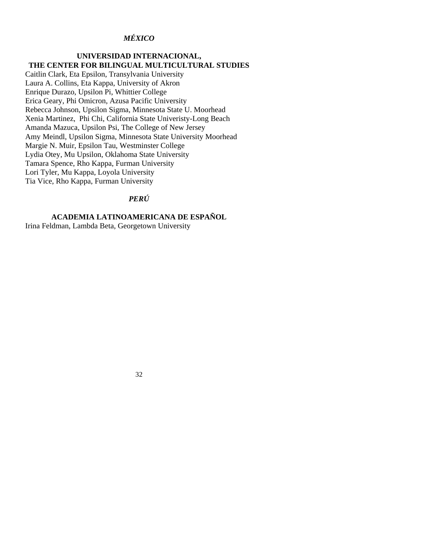### *MÉXICO*

### **UNIVERSIDAD INTERNACIONAL, THE CENTER FOR BILINGUAL MULTICULTURAL STUDIES**

Caitlin Clark, Eta Epsilon, Transylvania University Laura A. Collins, Eta Kappa, University of Akron Enrique Durazo, Upsilon Pi, Whittier College Erica Geary, Phi Omicron, Azusa Pacific University Rebecca Johnson, Upsilon Sigma, Minnesota State U. Moorhead Xenia Martinez, Phi Chi, California State Univeristy-Long Beach Amanda Mazuca, Upsilon Psi, The College of New Jersey Amy Meindl, Upsilon Sigma, Minnesota State University Moorhead Margie N. Muir, Epsilon Tau, Westminster College Lydia Otey, Mu Upsilon, Oklahoma State University Tamara Spence, Rho Kappa, Furman University Lori Tyler, Mu Kappa, Loyola University Tia Vice, Rho Kappa, Furman University

### *PERÚ*

### **ACADEMIA LATINOAMERICANA DE ESPAÑOL**

Irina Feldman, Lambda Beta, Georgetown University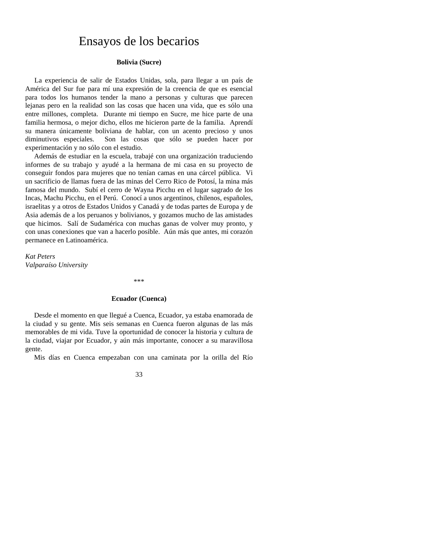### Ensayos de los becarios

#### **Bolivia (Sucre)**

 La experiencia de salir de Estados Unidas, sola, para llegar a un país de América del Sur fue para mí una expresión de la creencia de que es esencial para todos los humanos tender la mano a personas y culturas que parecen lejanas pero en la realidad son las cosas que hacen una vida, que es sólo una entre millones, completa. Durante mi tiempo en Sucre, me hice parte de una familia hermosa, o mejor dicho, ellos me hicieron parte de la familia. Aprendí su manera únicamente boliviana de hablar, con un acento precioso y unos diminutivos especiales. Son las cosas que sólo se pueden hacer por experimentación y no sólo con el estudio.

 Además de estudiar en la escuela, trabajé con una organización traduciendo informes de su trabajo y ayudé a la hermana de mi casa en su proyecto de conseguir fondos para mujeres que no tenían camas en una cárcel pública. Vi un sacrificio de llamas fuera de las minas del Cerro Rico de Potosí, la mina más famosa del mundo. Subí el cerro de Wayna Picchu en el lugar sagrado de los Incas, Machu Picchu, en el Perú. Conocí a unos argentinos, chilenos, españoles, israelitas y a otros de Estados Unidos y Canadá y de todas partes de Europa y de Asia además de a los peruanos y bolivianos, y gozamos mucho de las amistades que hicimos. Salí de Sudamérica con muchas ganas de volver muy pronto, y con unas conexiones que van a hacerlo posible. Aún más que antes, mi corazón permanece en Latinoamérica.

*Kat Peters Valparaíso University* 

\*\*\*

#### **Ecuador (Cuenca)**

 Desde el momento en que llegué a Cuenca, Ecuador, ya estaba enamorada de la ciudad y su gente. Mis seis semanas en Cuenca fueron algunas de las más memorables de mi vida. Tuve la oportunidad de conocer la historia y cultura de la ciudad, viajar por Ecuador, y aún más importante, conocer a su maravillosa gente.

Mis días en Cuenca empezaban con una caminata por la orilla del Río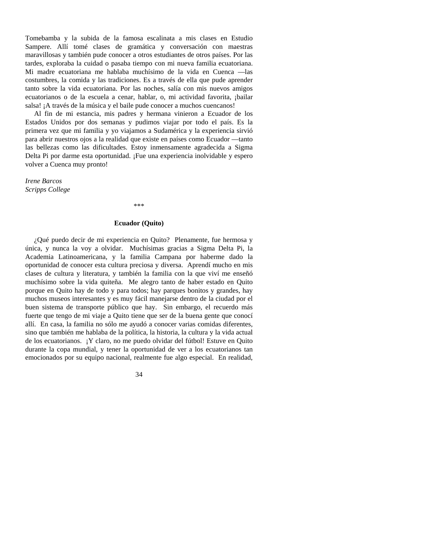Tomebamba y la subida de la famosa escalinata a mis clases en Estudio Sampere. Allí tomé clases de gramática y conversación con maestras maravillosas y también pude conocer a otros estudiantes de otros países. Por las tardes, exploraba la cuidad o pasaba tiempo con mi nueva familia ecuatoriana. Mi madre ecuatoriana me hablaba muchísimo de la vida en Cuenca —las costumbres, la comida y las tradiciones. Es a través de ella que pude aprender tanto sobre la vida ecuatoriana. Por las noches, salía con mis nuevos amigos ecuatorianos o de la escuela a cenar, hablar, o, mi actividad favorita, ¡bailar salsa! ¡A través de la música y el baile pude conocer a muchos cuencanos!

 Al fin de mi estancia, mis padres y hermana vinieron a Ecuador de los Estados Unidos por dos semanas y pudimos viajar por todo el país. Es la primera vez que mi familia y yo viajamos a Sudamérica y la experiencia sirvió para abrir nuestros ojos a la realidad que existe en países como Ecuador —tanto las bellezas como las dificultades. Estoy inmensamente agradecida a Sigma Delta Pi por darme esta oportunidad. ¡Fue una experiencia inolvidable y espero volver a Cuenca muy pronto!

*Irene Barcos Scripps College* 

**Ecuador (Quito)**

\*\*\*

 ¿Qué puedo decir de mi experiencia en Quito? Plenamente, fue hermosa y única, y nunca la voy a olvidar. Muchísimas gracias a Sigma Delta Pi, la Academia Latinoamericana, y la familia Campana por haberme dado la oportunidad de conocer esta cultura preciosa y diversa. Aprendí mucho en mis clases de cultura y literatura, y también la familia con la que viví me enseñó muchísimo sobre la vida quiteña. Me alegro tanto de haber estado en Quito porque en Quito hay de todo y para todos; hay parques bonitos y grandes, hay muchos museos interesantes y es muy fácil manejarse dentro de la ciudad por el buen sistema de transporte público que hay. Sin embargo, el recuerdo más fuerte que tengo de mi viaje a Quito tiene que ser de la buena gente que conocí allí. En casa, la familia no sólo me ayudó a conocer varias comidas diferentes, sino que también me hablaba de la política, la historia, la cultura y la vida actual de los ecuatorianos. ¡Y claro, no me puedo olvidar del fútbol! Estuve en Quito durante la copa mundial, y tener la oportunidad de ver a los ecuatorianos tan emocionados por su equipo nacional, realmente fue algo especial. En realidad,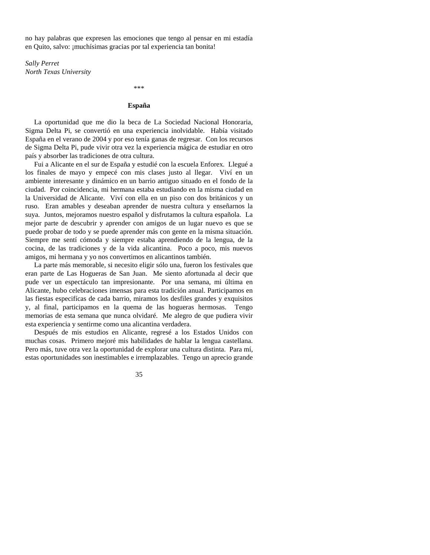no hay palabras que expresen las emociones que tengo al pensar en mi estadía en Quito, salvo: ¡muchísimas gracias por tal experiencia tan bonita!

*Sally Perret North Texas University* 

\*\*\*

#### **España**

 La oportunidad que me dio la beca de La Sociedad Nacional Honoraria, Sigma Delta Pi*,* se convertió en una experiencia inolvidable. Había visitado España en el verano de 2004 y por eso tenía ganas de regresar. Con los recursos de Sigma Delta Pi, pude vivir otra vez la experiencia mágica de estudiar en otro país y absorber las tradiciones de otra cultura.

 Fui a Alicante en el sur de España y estudié con la escuela Enforex*.* Llegué a los finales de mayo y empecé con mis clases justo al llegar. Viví en un ambiente interesante y dinámico en un barrio antiguo situado en el fondo de la ciudad. Por coincidencia, mi hermana estaba estudiando en la misma ciudad en la Universidad de Alicante. Viví con ella en un piso con dos británicos y un ruso. Eran amables y deseaban aprender de nuestra cultura y enseñarnos la suya. Juntos, mejoramos nuestro español y disfrutamos la cultura española. La mejor parte de descubrir y aprender con amigos de un lugar nuevo es que se puede probar de todo y se puede aprender más con gente en la misma situación. Siempre me sentí cómoda y siempre estaba aprendiendo de la lengua, de la cocina, de las tradiciones y de la vida alicantina. Poco a poco, mis nuevos amigos, mi hermana y yo nos convertimos en alicantinos también.

 La parte más memorable, si necesito eligir sólo una, fueron los festivales que eran parte de Las Hogueras de San Juan. Me siento afortunada al decir que pude ver un espectáculo tan impresionante. Por una semana, mi última en Alicante, hubo celebraciones imensas para esta tradición anual. Participamos en las fiestas especifícas de cada barrio, miramos los desfiles grandes y exquisitos y, al final, participamos en la quema de las hogueras hermosas. Tengo memorias de esta semana que nunca olvidaré. Me alegro de que pudiera vivir esta experiencia y sentirme como una alicantina verdadera.

 Después de mis estudios en Alicante, regresé a los Estados Unidos con muchas cosas. Primero mejoré mis habilidades de hablar la lengua castellana. Pero más, tuve otra vez la oportunidad de explorar una cultura distinta. Para mí, estas oportunidades son inestimables e irremplazables. Tengo un aprecio grande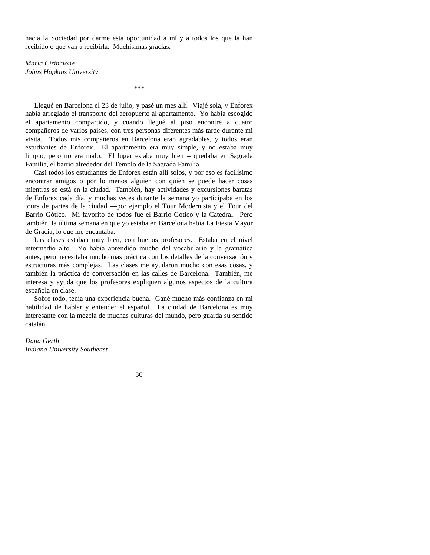hacia la Sociedad por darme esta oportunidad a mí y a todos los que la han recibido o que van a recibirla. Muchísimas gracias.

*Maria Cirincione Johns Hopkins University* 

*\*\*\** 

 Llegué en Barcelona el 23 de julio, y pasé un mes allí. Viajé sola, y Enforex había arreglado el transporte del aeropuerto al apartamento. Yo había escogido el apartamento compartido, y cuando llegué al piso encontré a cuatro compañeros de varios países, con tres personas diferentes más tarde durante mi visita. Todos mis compañeros en Barcelona eran agradables, y todos eran estudiantes de Enforex. El apartamento era muy simple, y no estaba muy limpio, pero no era malo. El lugar estaba muy bien – quedaba en Sagrada Familia, el barrio alrededor del Templo de la Sagrada Familia.

 Casi todos los estudiantes de Enforex están allí solos, y por eso es facilísimo encontrar amigos o por lo menos alguien con quien se puede hacer cosas mientras se está en la ciudad. También, hay actividades y excursiones baratas de Enforex cada día, y muchas veces durante la semana yo participaba en los tours de partes de la ciudad —por ejemplo el Tour Modernista y el Tour del Barrio Gótico. Mi favorito de todos fue el Barrio Gótico y la Catedral. Pero también, la última semana en que yo estaba en Barcelona había La Fiesta Mayor de Gracia, lo que me encantaba.

 Las clases estaban muy bien, con buenos profesores. Estaba en el nivel intermedio alto. Yo había aprendido mucho del vocabulario y la gramática antes, pero necesitaba mucho mas práctica con los detalles de la conversación y estructuras más complejas. Las clases me ayudaron mucho con esas cosas, y también la práctica de conversación en las calles de Barcelona. También, me interesa y ayuda que los profesores expliquen algunos aspectos de la cultura española en clase.

 Sobre todo, tenía una experiencia buena. Gané mucho más confianza en mi habilidad de hablar y entender el español. La ciudad de Barcelona es muy interesante con la mezcla de muchas culturas del mundo, pero guarda su sentido catalán.

*Dana Gerth Indiana University Southeast*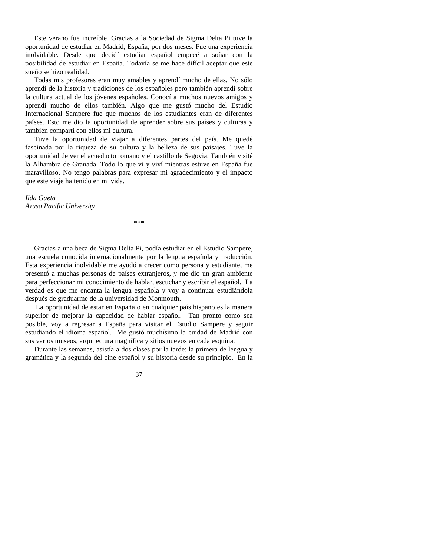Este verano fue increíble. Gracias a la Sociedad de Sigma Delta Pi tuve la oportunidad de estudiar en Madrid, España, por dos meses. Fue una experiencia inolvidable. Desde que decidí estudiar español empecé a soñar con la posibilidad de estudiar en España. Todavía se me hace difícil aceptar que este sueño se hizo realidad.

 Todas mis profesoras eran muy amables y aprendí mucho de ellas. No sólo aprendí de la historia y tradiciones de los españoles pero también aprendí sobre la cultura actual de los jóvenes españoles. Conocí a muchos nuevos amigos y aprendí mucho de ellos también. Algo que me gustó mucho del Estudio Internacional Sampere fue que muchos de los estudiantes eran de diferentes países. Esto me dio la oportunidad de aprender sobre sus países y culturas y también compartí con ellos mi cultura.

 Tuve la oportunidad de viajar a diferentes partes del país. Me quedé fascinada por la riqueza de su cultura y la belleza de sus paisajes. Tuve la oportunidad de ver el acueducto romano y el castillo de Segovia. También visité la Alhambra de Granada. Todo lo que vi y viví mientras estuve en España fue maravilloso. No tengo palabras para expresar mi agradecimiento y el impacto que este viaje ha tenido en mi vida.

*Ilda Gaeta Azusa Pacific University* 

\*\*\*

 Gracias a una beca de Sigma Delta Pi, podía estudiar en el Estudio Sampere, una escuela conocida internacionalmente por la lengua española y traducción. Esta experiencia inolvidable me ayudó a crecer como persona y estudiante, me presentó a muchas personas de países extranjeros, y me dio un gran ambiente para perfeccionar mi conocimiento de hablar, escuchar y escribir el español. La verdad es que me encanta la lengua española y voy a continuar estudiándola después de graduarme de la universidad de Monmouth.

 La oportunidad de estar en España o en cualquier país hispano es la manera superior de mejorar la capacidad de hablar español. Tan pronto como sea posible, voy a regresar a España para visitar el Estudio Sampere y seguir estudiando el idioma español. Me gustó muchísimo la cuidad de Madrid con sus varios museos, arquitectura magnífica y sitios nuevos en cada esquina.

 Durante las semanas, asistía a dos clases por la tarde: la primera de lengua y gramática y la segunda del cine español y su historia desde su principio. En la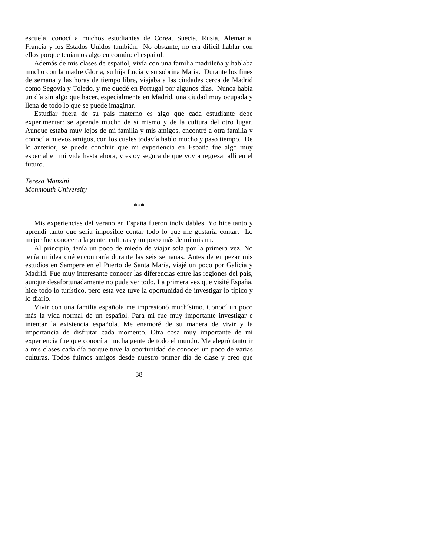escuela, conocí a muchos estudiantes de Corea, Suecia, Rusia, Alemania, Francia y los Estados Unidos también. No obstante, no era difícil hablar con ellos porque teníamos algo en común: el español.

 Además de mis clases de español, vivía con una familia madrileña y hablaba mucho con la madre Gloria, su hija Lucía y su sobrina María. Durante los fines de semana y las horas de tiempo libre, viajaba a las ciudades cerca de Madrid como Segovia y Toledo, y me quedé en Portugal por algunos días. Nunca había un día sin algo que hacer, especialmente en Madrid, una ciudad muy ocupada y llena de todo lo que se puede imaginar.

 Estudiar fuera de su país materno es algo que cada estudiante debe experimentar: se aprende mucho de sí mismo y de la cultura del otro lugar. Aunque estaba muy lejos de mi familia y mis amigos, encontré a otra familia y conocí a nuevos amigos, con los cuales todavía hablo mucho y paso tiempo. De lo anterior, se puede concluir que mi experiencia en España fue algo muy especial en mi vida hasta ahora, y estoy segura de que voy a regresar allí en el futuro.

*Teresa Manzini Monmouth University* 

 Mis experiencias del verano en España fueron inolvidables. Yo hice tanto y aprendí tanto que sería imposible contar todo lo que me gustaría contar. Lo mejor fue conocer a la gente, culturas y un poco más de mí misma.

\*\*\*

 Al principio, tenía un poco de miedo de viajar sola por la primera vez. No tenía ni idea qué encontraría durante las seis semanas. Antes de empezar mis estudios en Sampere en el Puerto de Santa María, viajé un poco por Galicia y Madrid. Fue muy interesante conocer las diferencias entre las regiones del país, aunque desafortunadamente no pude ver todo. La primera vez que visité España, hice todo lo turístico, pero esta vez tuve la oportunidad de investigar lo típico y lo diario.

 Vivir con una familia española me impresionó muchísimo. Conocí un poco más la vida normal de un español. Para mí fue muy importante investigar e intentar la existencia española. Me enamoré de su manera de vivir y la importancia de disfrutar cada momento. Otra cosa muy importante de mi experiencia fue que conocí a mucha gente de todo el mundo. Me alegró tanto ir a mis clases cada día porque tuve la oportunidad de conocer un poco de varias culturas. Todos fuimos amigos desde nuestro primer día de clase y creo que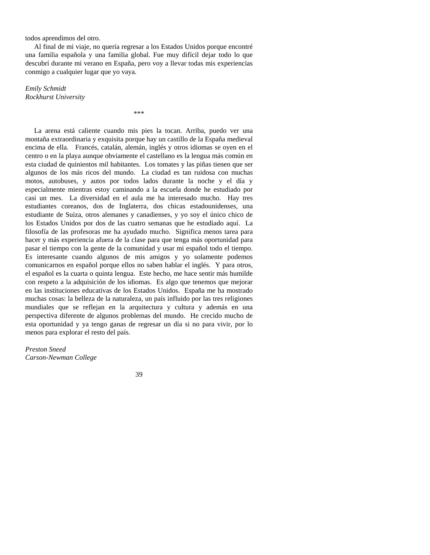todos aprendimos del otro.

 Al final de mi viaje, no quería regresar a los Estados Unidos porque encontré una familia española y una familia global. Fue muy difícil dejar todo lo que descubrí durante mi verano en España, pero voy a llevar todas mis experiencias conmigo a cualquier lugar que yo vaya.

*Emily Schmidt Rockhurst University* 

\*\*\*

 La arena está caliente cuando mis pies la tocan. Arriba, puedo ver una montaña extraordinaria y exquisita porque hay un castillo de la España medieval encima de ella. Francés, catalán, alemán, inglés y otros idiomas se oyen en el centro o en la playa aunque obviamente el castellano es la lengua más común en esta ciudad de quinientos mil habitantes. Los tomates y las piñas tienen que ser algunos de los más ricos del mundo. La ciudad es tan ruidosa con muchas motos, autobuses, y autos por todos lados durante la noche y el día y especialmente mientras estoy caminando a la escuela donde he estudiado por casi un mes. La diversidad en el aula me ha interesado mucho. Hay tres estudiantes coreanos, dos de Inglaterra, dos chicas estadounidenses, una estudiante de Suiza, otros alemanes y canadienses, y yo soy el único chico de los Estados Unidos por dos de las cuatro semanas que he estudiado aquí. La filosofía de las profesoras me ha ayudado mucho. Significa menos tarea para hacer y más experiencia afuera de la clase para que tenga más oportunidad para pasar el tiempo con la gente de la comunidad y usar mi español todo el tiempo. Es interesante cuando algunos de mis amigos y yo solamente podemos comunicarnos en español porque ellos no saben hablar el inglés. Y para otros, el español es la cuarta o quinta lengua. Este hecho, me hace sentir más humilde con respeto a la adquisición de los idiomas. Es algo que tenemos que mejorar en las instituciones educativas de los Estados Unidos. España me ha mostrado muchas cosas: la belleza de la naturaleza, un país influido por las tres religiones mundiales que se reflejan en la arquitectura y cultura y además en una perspectiva diferente de algunos problemas del mundo. He crecido mucho de esta oportunidad y ya tengo ganas de regresar un día si no para vivir, por lo menos para explorar el resto del país.

*Preston Sneed Carson-Newman College*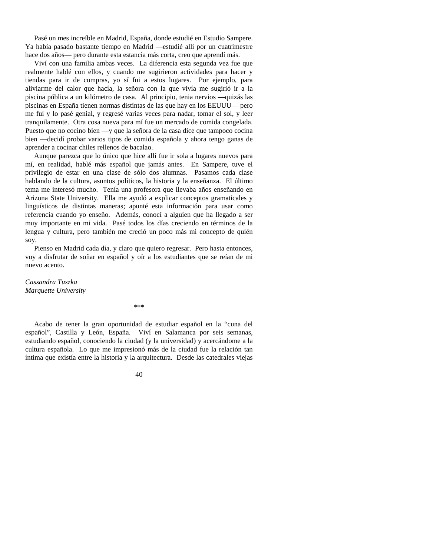Pasé un mes increíble en Madrid, España, donde estudié en Estudio Sampere. Ya había pasado bastante tiempo en Madrid —estudié alli por un cuatrimestre hace dos años— pero durante esta estancia más corta, creo que aprendí más.

 Viví con una familia ambas veces. La diferencia esta segunda vez fue que realmente hablé con ellos, y cuando me sugirieron actividades para hacer y tiendas para ir de compras, yo sí fui a estos lugares. Por ejemplo, para aliviarme del calor que hacía, la señora con la que vivía me sugirió ir a la piscina pública a un kilómetro de casa. Al principio, tenia nervios —quizás las piscinas en España tienen normas distintas de las que hay en los EEUUU— pero me fui y lo pasé genial, y regresé varias veces para nadar, tomar el sol, y leer tranquilamente. Otra cosa nueva para mí fue un mercado de comida congelada. Puesto que no cocino bien —y que la señora de la casa dice que tampoco cocina bien —decidí probar varios tipos de comida española y ahora tengo ganas de aprender a cocinar chiles rellenos de bacalao.

 Aunque parezca que lo único que hice allí fue ir sola a lugares nuevos para mí, en realidad, hablé más español que jamás antes. En Sampere, tuve el privilegio de estar en una clase de sólo dos alumnas. Pasamos cada clase hablando de la cultura, asuntos políticos, la historia y la enseñanza. El último tema me interesó mucho. Tenía una profesora que llevaba años enseñando en Arizona State University. Ella me ayudó a explicar conceptos gramaticales y linguísticos de distintas maneras; apunté esta información para usar como referencia cuando yo enseño. Además, conocí a alguien que ha llegado a ser muy importante en mi vida. Pasé todos los días creciendo en términos de la lengua y cultura, pero también me creció un poco más mi concepto de quién soy.

 Pienso en Madrid cada día, y claro que quiero regresar. Pero hasta entonces, voy a disfrutar de soñar en español y oír a los estudiantes que se reían de mi nuevo acento.

*Cassandra Tuszka Marquette University* 

\*\*\*

 Acabo de tener la gran oportunidad de estudiar español en la "cuna del español", Castilla y León, España. Viví en Salamanca por seis semanas, estudiando español, conociendo la ciudad (y la universidad) y acercándome a la cultura española. Lo que me impresionó más de la ciudad fue la relación tan íntima que existía entre la historia y la arquitectura. Desde las catedrales viejas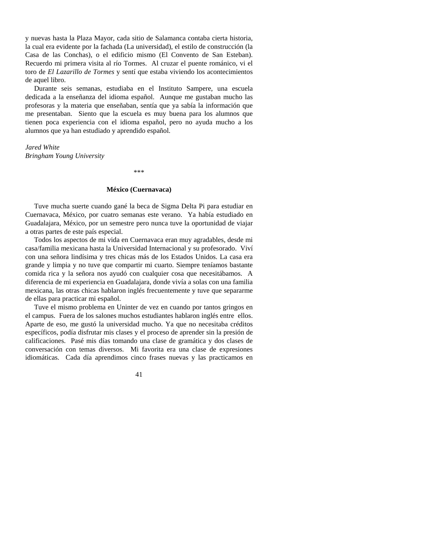y nuevas hasta la Plaza Mayor, cada sitio de Salamanca contaba cierta historia, la cual era evidente por la fachada (La universidad), el estilo de construcción (la Casa de las Conchas), o el edificio mismo (El Convento de San Esteban). Recuerdo mi primera visita al río Tormes. Al cruzar el puente románico, vi el toro de *El Lazarillo de Tormes* y sentí que estaba viviendo los acontecimientos de aquel libro.

 Durante seis semanas, estudiaba en el Instituto Sampere, una escuela dedicada a la enseñanza del idioma español. Aunque me gustaban mucho las profesoras y la materia que enseñaban, sentía que ya sabía la información que me presentaban. Siento que la escuela es muy buena para los alumnos que tienen poca experiencia con el idioma español, pero no ayuda mucho a los alumnos que ya han estudiado y aprendido español.

*Jared White Bringham Young University* 

\*\*\*

#### **México (Cuernavaca)**

 Tuve mucha suerte cuando gané la beca de Sigma Delta Pi para estudiar en Cuernavaca, México, por cuatro semanas este verano. Ya había estudiado en Guadalajara, México, por un semestre pero nunca tuve la oportunidad de viajar a otras partes de este país especial.

 Todos los aspectos de mi vida en Cuernavaca eran muy agradables, desde mi casa/familia mexicana hasta la Universidad Internacional y su profesorado. Viví con una señora lindísima y tres chicas más de los Estados Unidos. La casa era grande y limpia y no tuve que compartir mi cuarto. Siempre teníamos bastante comida rica y la señora nos ayudó con cualquier cosa que necesitábamos. A diferencia de mi experiencia en Guadalajara, donde vivía a solas con una familia mexicana, las otras chicas hablaron inglés frecuentemente y tuve que separarme de ellas para practicar mi español.

 Tuve el mismo problema en Uninter de vez en cuando por tantos gringos en el campus. Fuera de los salones muchos estudiantes hablaron inglés entre ellos. Aparte de eso, me gustó la universidad mucho. Ya que no necesitaba créditos específicos, podía disfrutar mis clases y el proceso de aprender sin la presión de calificaciones. Pasé mis días tomando una clase de gramática y dos clases de conversación con temas diversos. Mi favorita era una clase de expresiones idiomáticas. Cada día aprendimos cinco frases nuevas y las practicamos en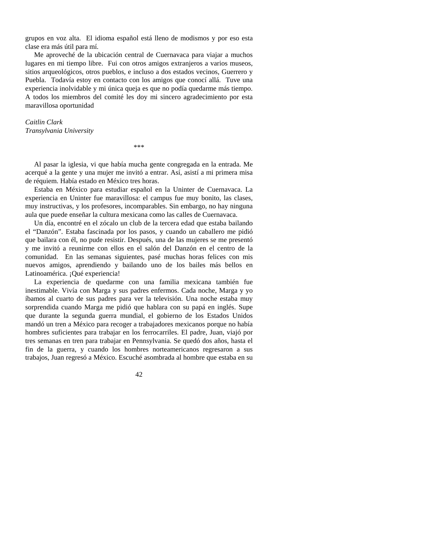grupos en voz alta. El idioma español está lleno de modismos y por eso esta clase era más útil para mí.

 Me aproveché de la ubicación central de Cuernavaca para viajar a muchos lugares en mi tiempo libre. Fui con otros amigos extranjeros a varios museos, sitios arqueológicos, otros pueblos, e incluso a dos estados vecinos, Guerrero y Puebla. Todavía estoy en contacto con los amigos que conocí allá. Tuve una experiencia inolvidable y mi única queja es que no podía quedarme más tiempo. A todos los miembros del comité les doy mi sincero agradecimiento por esta maravillosa oportunidad

*Caitlin Clark Transylvania University* 

\*\*\*

 Al pasar la iglesia, vi que había mucha gente congregada en la entrada. Me acerqué a la gente y una mujer me invitó a entrar. Así, asistí a mi primera misa de réquiem. Había estado en México tres horas.

 Estaba en México para estudiar español en la Uninter de Cuernavaca. La experiencia en Uninter fue maravillosa: el campus fue muy bonito, las clases, muy instructivas, y los profesores, incomparables. Sin embargo, no hay ninguna aula que puede enseñar la cultura mexicana como las calles de Cuernavaca.

 Un día, encontré en el zócalo un club de la tercera edad que estaba bailando el "Danzón". Estaba fascinada por los pasos, y cuando un caballero me pidió que bailara con él, no pude resistir. Después, una de las mujeres se me presentó y me invitó a reunirme con ellos en el salón del Danzón en el centro de la comunidad. En las semanas siguientes, pasé muchas horas felices con mis nuevos amigos, aprendiendo y bailando uno de los bailes más bellos en Latinoamérica. ¡Qué experiencia!

 La experiencia de quedarme con una familia mexicana también fue inestimable. Vivía con Marga y sus padres enfermos. Cada noche, Marga y yo íbamos al cuarto de sus padres para ver la televisión. Una noche estaba muy sorprendida cuando Marga me pidió que hablara con su papá en inglés. Supe que durante la segunda guerra mundial, el gobierno de los Estados Unidos mandó un tren a México para recoger a trabajadores mexicanos porque no había hombres suficientes para trabajar en los ferrocarriles. El padre, Juan, viajó por tres semanas en tren para trabajar en Pennsylvania. Se quedó dos años, hasta el fin de la guerra, y cuando los hombres norteamericanos regresaron a sus trabajos, Juan regresó a México. Escuché asombrada al hombre que estaba en su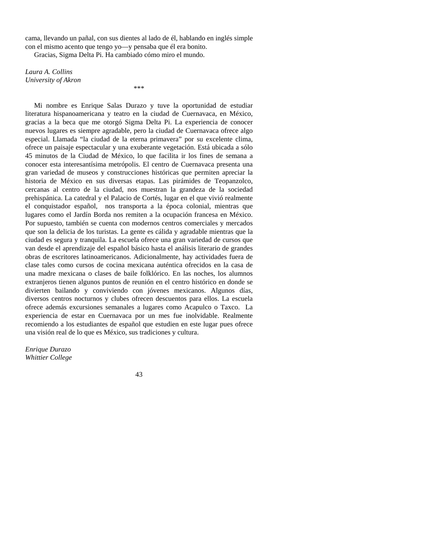cama, llevando un pañal, con sus dientes al lado de él, hablando en inglés simple con el mismo acento que tengo yo—y pensaba que él era bonito.

\*\*\*

Gracias, Sigma Delta Pi. Ha cambiado cómo miro el mundo.

*Laura A. Collins University of Akron*

 Mi nombre es Enrique Salas Durazo y tuve la oportunidad de estudiar literatura hispanoamericana y teatro en la ciudad de Cuernavaca, en México, gracias a la beca que me otorgó Sigma Delta Pi. La experiencia de conocer nuevos lugares es siempre agradable, pero la ciudad de Cuernavaca ofrece algo especial. Llamada "la ciudad de la eterna primavera" por su excelente clima, ofrece un paisaje espectacular y una exuberante vegetación. Está ubicada a sólo 45 minutos de la Ciudad de México, lo que facilita ir los fines de semana a conocer esta interesantísima metrópolis. El centro de Cuernavaca presenta una gran variedad de museos y construcciones históricas que permiten apreciar la historia de México en sus diversas etapas. Las pirámides de Teopanzolco, cercanas al centro de la ciudad, nos muestran la grandeza de la sociedad prehispánica. La catedral y el Palacio de Cortés, lugar en el que vivió realmente el conquistador español, nos transporta a la época colonial, mientras que lugares como el Jardín Borda nos remiten a la ocupación francesa en México. Por supuesto, también se cuenta con modernos centros comerciales y mercados que son la delicia de los turistas. La gente es cálida y agradable mientras que la ciudad es segura y tranquila. La escuela ofrece una gran variedad de cursos que van desde el aprendizaje del español básico hasta el análisis literario de grandes obras de escritores latinoamericanos. Adicionalmente, hay actividades fuera de clase tales como cursos de cocina mexicana auténtica ofrecidos en la casa de una madre mexicana o clases de baile folklórico. En las noches, los alumnos extranjeros tienen algunos puntos de reunión en el centro histórico en donde se divierten bailando y conviviendo con jóvenes mexicanos. Algunos días, diversos centros nocturnos y clubes ofrecen descuentos para ellos. La escuela ofrece además excursiones semanales a lugares como Acapulco o Taxco. La experiencia de estar en Cuernavaca por un mes fue inolvidable. Realmente recomiendo a los estudiantes de español que estudien en este lugar pues ofrece una visión real de lo que es México, sus tradiciones y cultura.

*Enrique Durazo Whittier College*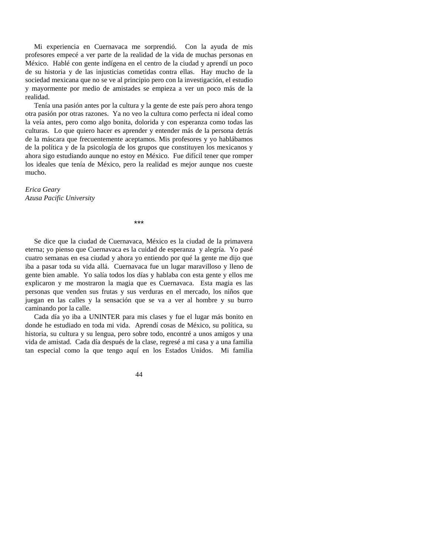Mi experiencia en Cuernavaca me sorprendió. Con la ayuda de mis profesores empecé a ver parte de la realidad de la vida de muchas personas en México. Hablé con gente indígena en el centro de la ciudad y aprendí un poco de su historia y de las injusticias cometidas contra ellas. Hay mucho de la sociedad mexicana que no se ve al principio pero con la investigación, el estudio y mayormente por medio de amistades se empieza a ver un poco más de la realidad.

 Tenía una pasión antes por la cultura y la gente de este país pero ahora tengo otra pasión por otras razones. Ya no veo la cultura como perfecta ni ideal como la veía antes, pero como algo bonita, dolorida y con esperanza como todas las culturas. Lo que quiero hacer es aprender y entender más de la persona detrás de la máscara que frecuentemente aceptamos. Mis profesores y yo hablábamos de la política y de la psicología de los grupos que constituyen los mexicanos y ahora sigo estudiando aunque no estoy en México. Fue difícil tener que romper los ideales que tenía de México, pero la realidad es mejor aunque nos cueste mucho.

*Erica Geary Azusa Pacific University* 

\*\*\*

 Se dice que la ciudad de Cuernavaca, México es la ciudad de la primavera eterna; yo pienso que Cuernavaca es la cuidad de esperanza y alegría. Yo pasé cuatro semanas en esa ciudad y ahora yo entiendo por qué la gente me dijo que iba a pasar toda su vida allá. Cuernavaca fue un lugar maravilloso y lleno de gente bien amable. Yo salía todos los días y hablaba con esta gente y ellos me explicaron y me mostraron la magia que es Cuernavaca. Esta magia es las personas que venden sus frutas y sus verduras en el mercado, los niños que juegan en las calles y la sensación que se va a ver al hombre y su burro caminando por la calle.

 Cada día yo iba a UNINTER para mis clases y fue el lugar más bonito en donde he estudiado en toda mi vida. Aprendí cosas de México, su política, su historia, su cultura y su lengua, pero sobre todo, encontré a unos amigos y una vida de amistad. Cada día después de la clase, regresé a mi casa y a una familia tan especial como la que tengo aquí en los Estados Unidos. Mi familia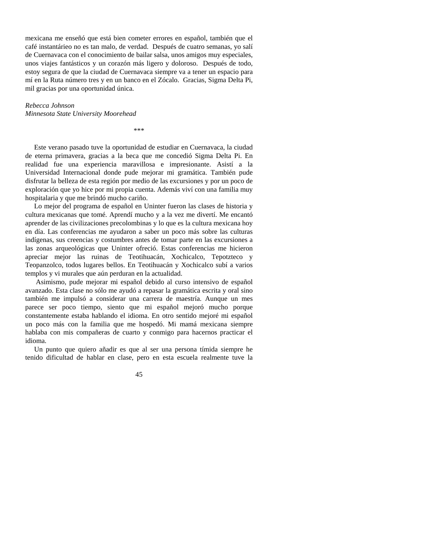mexicana me enseñó que está bien cometer errores en español, también que el café instantárieo no es tan malo, de verdad. Después de cuatro semanas, yo salí de Cuernavaca con el conocimiento de bailar salsa, unos amigos muy especiales, unos viajes fantásticos y un corazón más ligero y doloroso. Después de todo, estoy segura de que la ciudad de Cuernavaca siempre va a tener un espacio para mí en la Ruta número tres y en un banco en el Zócalo. Gracias, Sigma Delta Pi, mil gracias por una oportunidad única.

*Rebecca Johnson Minnesota State University Moorehead* 

 Este verano pasado tuve la oportunidad de estudiar en Cuernavaca, la ciudad de eterna primavera, gracias a la beca que me concedió Sigma Delta Pi. En realidad fue una experiencia maravillosa e impresionante. Asistí a la Universidad Internacional donde pude mejorar mi gramática. También pude disfrutar la belleza de esta región por medio de las excursiones y por un poco de exploración que yo hice por mi propia cuenta. Además viví con una familia muy hospitalaria y que me brindó mucho cariño.

\*\*\*

 Lo mejor del programa de español en Uninter fueron las clases de historia y cultura mexicanas que tomé. Aprendí mucho y a la vez me divertí. Me encantó aprender de las civilizaciones precolombinas y lo que es la cultura mexicana hoy en día. Las conferencias me ayudaron a saber un poco más sobre las culturas indígenas, sus creencias y costumbres antes de tomar parte en las excursiones a las zonas arqueológicas que Uninter ofreció. Estas conferencias me hicieron apreciar mejor las ruinas de Teotihuacán, Xochicalco, Tepotzteco y Teopanzolco, todos lugares bellos. En Teotihuacán y Xochicalco subí a varios templos y vi murales que aún perduran en la actualidad.

 Asimismo, pude mejorar mi español debido al curso intensivo de español avanzado. Esta clase no sólo me ayudó a repasar la gramática escrita y oral sino también me impulsó a considerar una carrera de maestría. Aunque un mes parece ser poco tiempo, siento que mi español mejoró mucho porque constantemente estaba hablando el idioma. En otro sentido mejoré mi español un poco más con la familia que me hospedó. Mi mamá mexicana siempre hablaba con mis compañeras de cuarto y conmigo para hacernos practicar el idioma.

 Un punto que quiero añadir es que al ser una persona tímida siempre he tenido dificultad de hablar en clase, pero en esta escuela realmente tuve la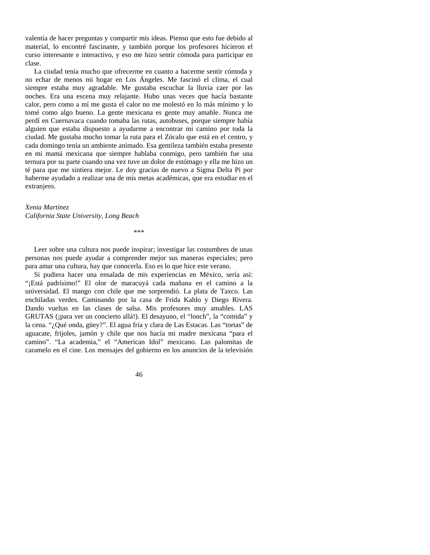valentía de hacer preguntas y compartir mis ideas. Pienso que esto fue debido al material, lo encontré fascinante, y también porque los profesores hicieron el curso interesante e interactivo, y eso me hizo sentir cómoda para participar en clase.

 La ciudad tenía mucho que ofrecerme en cuanto a hacerme sentir cómoda y no echar de menos mi hogar en Los Ángeles. Me fascinó el clima, el cual siempre estaba muy agradable. Me gustaba escuchar la lluvia caer por las noches. Era una escena muy relajante. Hubo unas veces que hacía bastante calor, pero como a mí me gusta el calor no me molestó en lo más mínimo y lo tomé como algo bueno. La gente mexicana es gente muy amable. Nunca me perdí en Cuernavaca cuando tomaba las rutas, autobuses, porque siempre había alguien que estaba dispuesto a ayudarme a encontrar mi camino por toda la ciudad. Me gustaba mucho tomar la ruta para el Zócalo que está en el centro, y cada domingo tenía un ambiente animado. Esa gentileza también estaba presente en mi mamá mexicana que siempre hablaba conmigo, pero también fue una ternura por su parte cuando una vez tuve un dolor de estómago y ella me hizo un té para que me sintiera mejor. Le doy gracias de nuevo a Sigma Delta Pi por haberme ayudado a realizar una de mis metas académicas, que era estudiar en el extranjero.

*Xenia Martinez California State University, Long Beach* 

 Leer sobre una cultura nos puede inspirar; investigar las costumbres de unas personas nos puede ayudar a comprender mejor sus maneras especiales; pero para amar una cultura, hay que conocerla. Eso es lo que hice este verano.

\*\*\*

 Si pudiera hacer una ensalada de mis experiencias en México, sería así: "¡Está padrísimo!" El olor de maracuyá cada mañana en el camino a la universidad. El mango con chile que me sorprendió. La plata de Taxco. Las enchiladas verdes*.* Caminando por la casa de Frida Kahlo y Diego Rivera. Dando vueltas en las clases de salsa. Mis profesores muy amables. LAS GRUTAS (¡para ver un concierto allá!). El desayuno, el "lonch", la "comida" y la cena. "¿Qué onda, güey?". El agua fría y clara de Las Estacas. Las "tortas" de aguacate, frijoles, jamón y chile que nos hacía mi madre mexicana "para el camino". "La academia," el "American Idol" mexicano. Las palomitas de caramelo en el cine. Los mensajes del gobierno en los anuncios de la televisión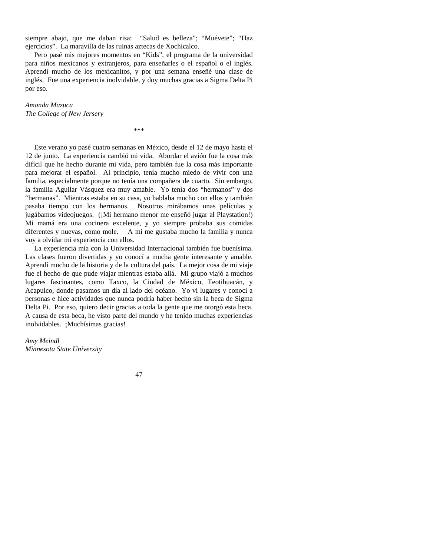siempre abajo, que me daban risa: "Salud es belleza"; "Muévete"; "Haz ejercicios". La maravilla de las ruinas aztecas de Xochicalco.

 Pero pasé mis mejores momentos en "Kids", el programa de la universidad para niños mexicanos y extranjeros, para enseñarles o el español o el inglés. Aprendí mucho de los mexicanitos, y por una semana enseñé una clase de inglés. Fue una experiencia inolvidable, y doy muchas gracias a Sigma Delta Pi por eso.

\*\*\*

*Amanda Mazuca The College of New Jersery* 

 Este verano yo pasé cuatro semanas en México, desde el 12 de mayo hasta el 12 de junio. La experiencia cambió mi vida. Abordar el avión fue la cosa más difícil que he hecho durante mi vida, pero también fue la cosa más importante para mejorar el español. Al principio, tenía mucho miedo de vivir con una familia, especialmente porque no tenía una compañera de cuarto. Sin embargo, la familia Aguilar Vásquez era muy amable. Yo tenía dos "hermanos" y dos "hermanas". Mientras estaba en su casa, yo hablaba mucho con ellos y también pasaba tiempo con los hermanos. Nosotros mirábamos unas películas y jugábamos videojuegos. (¡Mi hermano menor me enseñó jugar al Playstation!) Mi mamá era una cocinera excelente, y yo siempre probaba sus comidas diferentes y nuevas, como mole. A mí me gustaba mucho la familia y nunca voy a olvidar mi experiencia con ellos.

 La experiencia mía con la Universidad Internacional también fue buenísima. Las clases fueron divertidas y yo conocí a mucha gente interesante y amable. Aprendí mucho de la historia y de la cultura del país. La mejor cosa de mi viaje fue el hecho de que pude viajar mientras estaba allá. Mi grupo viajó a muchos lugares fascinantes, como Taxco, la Ciudad de México, Teotihuacán, y Acapulco, donde pasamos un día al lado del océano. Yo vi lugares y conocí a personas e hice actividades que nunca podría haber hecho sin la beca de Sigma Delta Pi. Por eso, quiero decir gracias a toda la gente que me otorgó esta beca. A causa de esta beca, he visto parte del mundo y he tenido muchas experiencias inolvidables. ¡Muchísimas gracias!

*Amy Meindl Minnesota State University*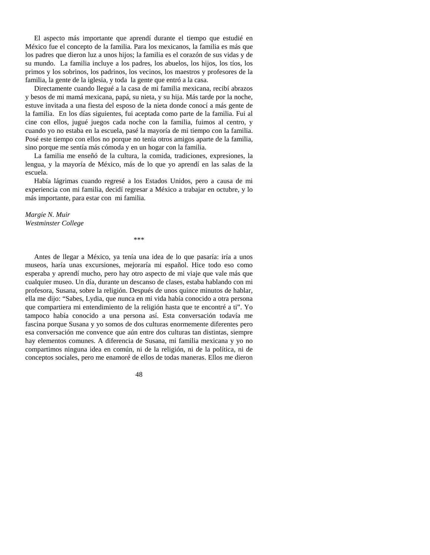El aspecto más importante que aprendí durante el tiempo que estudié en México fue el concepto de la familia. Para los mexicanos, la familia es más que los padres que dieron luz a unos hijos; la familia es el corazón de sus vidas y de su mundo. La familia incluye a los padres, los abuelos, los hijos, los tíos, los primos y los sobrinos, los padrinos, los vecinos, los maestros y profesores de la familia, la gente de la iglesia, y toda la gente que entró a la casa.

 Directamente cuando llegué a la casa de mi familia mexicana, recibí abrazos y besos de mi mamá mexicana, papá, su nieta, y su hija. Más tarde por la noche, estuve invitada a una fiesta del esposo de la nieta donde conocí a más gente de la familia. En los días siguientes, fui aceptada como parte de la familia. Fui al cine con ellos, jugué juegos cada noche con la familia, fuimos al centro, y cuando yo no estaba en la escuela, pasé la mayoría de mi tiempo con la familia. Posé este tiempo con ellos no porque no tenía otros amigos aparte de la familia, sino porque me sentía más cómoda y en un hogar con la familia.

 La familia me enseñó de la cultura, la comida, tradiciones, expresiones, la lengua, y la mayoría de México, más de lo que yo aprendí en las salas de la escuela.

 Había lágrimas cuando regresé a los Estados Unidos, pero a causa de mi experiencia con mi familia, decidí regresar a México a trabajar en octubre, y lo más importante, para estar con mi familia.

*Margie N. Muir Westminster College* 

\*\*\*

 Antes de llegar a México, ya tenía una idea de lo que pasaría: iría a unos museos, haría unas excursiones, mejoraría mi español. Hice todo eso como esperaba y aprendí mucho, pero hay otro aspecto de mi viaje que vale más que cualquier museo. Un día, durante un descanso de clases, estaba hablando con mi profesora, Susana, sobre la religión. Después de unos quince minutos de hablar, ella me dijo: "Sabes, Lydia, que nunca en mi vida había conocido a otra persona que compartiera mi entendimiento de la religión hasta que te encontré a ti". Yo tampoco había conocido a una persona así. Esta conversación todavía me fascina porque Susana y yo somos de dos culturas enormemente diferentes pero esa conversación me convence que aún entre dos culturas tan distintas, siempre hay elementos comunes. A diferencia de Susana, mi familia mexicana y yo no compartimos ninguna idea en común, ni de la religión, ni de la política, ni de conceptos sociales, pero me enamoré de ellos de todas maneras. Ellos me dieron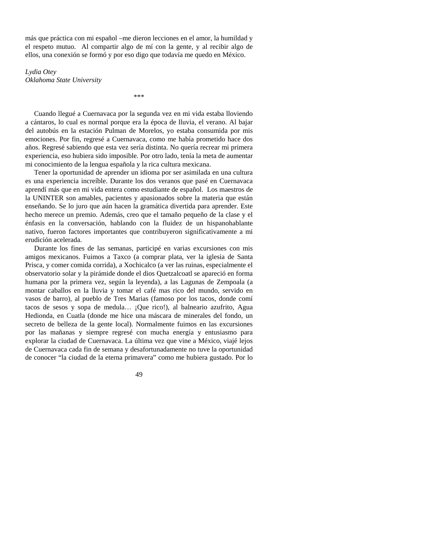más que práctica con mi español –me dieron lecciones en el amor, la humildad y el respeto mutuo. Al compartir algo de mí con la gente, y al recibir algo de ellos, una conexión se formó y por eso digo que todavía me quedo en México.

*Lydia Otey Oklahoma State University* 

\*\*\*

 Cuando llegué a Cuernavaca por la segunda vez en mi vida estaba lloviendo a cántaros, lo cual es normal porque era la época de lluvia, el verano. Al bajar del autobús en la estación Pulman de Morelos, yo estaba consumida por mis emociones. Por fin, regresé a Cuernavaca, como me había prometido hace dos años. Regresé sabiendo que esta vez sería distinta. No quería recrear mi primera experiencia, eso hubiera sido imposible. Por otro lado, tenía la meta de aumentar mi conocimiento de la lengua española y la rica cultura mexicana.

 Tener la oportunidad de aprender un idioma por ser asimilada en una cultura es una experiencia increíble. Durante los dos veranos que pasé en Cuernavaca aprendí más que en mi vida entera como estudiante de español. Los maestros de la UNINTER son amables, pacientes y apasionados sobre la materia que están enseñando. Se lo juro que aún hacen la gramática divertida para aprender. Este hecho merece un premio. Además, creo que el tamaño pequeño de la clase y el énfasis en la conversación, hablando con la fluidez de un hispanohablante nativo, fueron factores importantes que contribuyeron significativamente a mi erudición acelerada.

 Durante los fines de las semanas, participé en varias excursiones con mis amigos mexicanos. Fuimos a Taxco (a comprar plata, ver la iglesia de Santa Prisca, y comer comida corrida), a Xochicalco (a ver las ruinas, especialmente el observatorio solar y la pirámide donde el dios Quetzalcoatl se apareció en forma humana por la primera vez, según la leyenda), a las Lagunas de Zempoala (a montar caballos en la lluvia y tomar el café mas rico del mundo, servido en vasos de barro), al pueblo de Tres Marias (famoso por los tacos, donde comí tacos de sesos y sopa de medula… ¡Que rico!), al balneario azufrito, Agua Hedionda, en Cuatla (donde me hice una máscara de minerales del fondo, un secreto de belleza de la gente local). Normalmente fuimos en las excursiones por las mañanas y siempre regresé con mucha energía y entusiasmo para explorar la ciudad de Cuernavaca. La última vez que vine a México, viajé lejos de Cuernavaca cada fin de semana y desafortunadamente no tuve la oportunidad de conocer "la ciudad de la eterna primavera" como me hubiera gustado. Por lo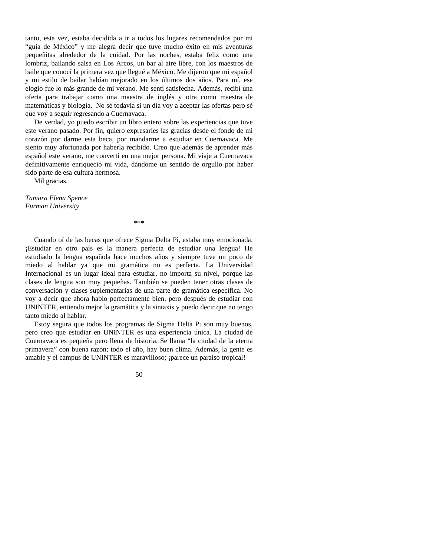tanto, esta vez, estaba decidida a ir a todos los lugares recomendados por mi "guía de México" y me alegra decir que tuve mucho éxito en mis aventuras pequeñitas alrededor de la cuidad. Por las noches, estaba feliz como una lombriz, bailando salsa en Los Arcos, un bar al aire libre, con los maestros de baile que conocí la primera vez que llegué a México. Me dijeron que mi español y mi estilo de bailar habían mejorado en los últimos dos años. Para mí, ese elogio fue lo más grande de mi verano. Me sentí satisfecha. Además, recibí una oferta para trabajar como una maestra de inglés y otra como maestra de matemáticas y biología. No sé todavía si un día voy a aceptar las ofertas pero sé que voy a seguir regresando a Cuernavaca.

 De verdad, yo puedo escribir un libro entero sobre las experiencias que tuve este verano pasado. Por fin, quiero expresarles las gracias desde el fondo de mi corazón por darme esta beca, por mandarme a estudiar en Cuernavaca. Me siento muy afortunada por haberla recibido. Creo que además de aprender más español este verano, me convertí en una mejor persona. Mi viaje a Cuernavaca definitivamente enriqueció mi vida, dándome un sentido de orgullo por haber sido parte de esa cultura hermosa.

Mil gracias.

*Tamara Elena Spence Furman University* 

 Cuando oí de las becas que ofrece Sigma Delta Pi, estaba muy emocionada. ¡Estudiar en otro país es la manera perfecta de estudiar una lengua! He estudiado la lengua española hace muchos años y siempre tuve un poco de miedo al hablar ya que mi gramática no es perfecta. La Universidad Internacional es un lugar ideal para estudiar, no importa su nivel, porque las clases de lengua son muy pequeñas. También se pueden tener otras clases de conversación y clases suplementarias de una parte de gramática específica. No voy a decir que ahora hablo perfectamente bien, pero después de estudiar con UNINTER, entiendo mejor la gramática y la sintaxis y puedo decir que no tengo tanto miedo al hablar.

\*\*\*

 Estoy segura que todos los programas de Sigma Delta Pi son muy buenos, pero creo que estudiar en UNINTER es una experiencia única. La ciudad de Cuernavaca es pequeña pero llena de historia. Se llama "la ciudad de la eterna primavera" con buena razón; todo el año, hay buen clima. Además, la gente es amable y el campus de UNINTER es maravilloso; ¡parece un paraíso tropical!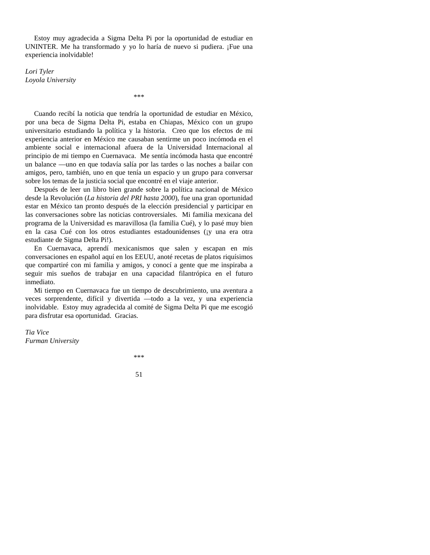Estoy muy agradecida a Sigma Delta Pi por la oportunidad de estudiar en UNINTER. Me ha transformado y yo lo haría de nuevo si pudiera. ¡Fue una experiencia inolvidable!

*Lori Tyler Loyola University* 

\*\*\*

 Cuando recibí la noticia que tendría la oportunidad de estudiar en México, por una beca de Sigma Delta Pi, estaba en Chiapas, México con un grupo universitario estudiando la política y la historia. Creo que los efectos de mi experiencia anterior en México me causaban sentirme un poco incómoda en el ambiente social e internacional afuera de la Universidad Internacional al principio de mi tiempo en Cuernavaca. Me sentía incómoda hasta que encontré un balance —uno en que todavía salía por las tardes o las noches a bailar con amigos, pero, también, uno en que tenía un espacio y un grupo para conversar sobre los temas de la justicia social que encontré en el viaje anterior.

 Después de leer un libro bien grande sobre la política nacional de México desde la Revolución (*La historia del PRI hasta 2000*), fue una gran oportunidad estar en México tan pronto después de la elección presidencial y participar en las conversaciones sobre las noticias controversiales. Mi familia mexicana del programa de la Universidad es maravillosa (la familia Cué), y lo pasé muy bien en la casa Cué con los otros estudiantes estadounidenses (¡y una era otra estudiante de Sigma Delta Pi!).

 En Cuernavaca, aprendí mexicanismos que salen y escapan en mis conversaciones en español aquí en los EEUU, anoté recetas de platos riquísimos que compartiré con mi familia y amigos, y conocí a gente que me inspiraba a seguir mis sueños de trabajar en una capacidad filantrópica en el futuro inmediato.

 Mi tiempo en Cuernavaca fue un tiempo de descubrimiento, una aventura a veces sorprendente, difícil y divertida —todo a la vez, y una experiencia inolvidable. Estoy muy agradecida al comité de Sigma Delta Pi que me escogió para disfrutar esa oportunidad. Gracias.

*Tia Vice Furman University* 

\*\*\*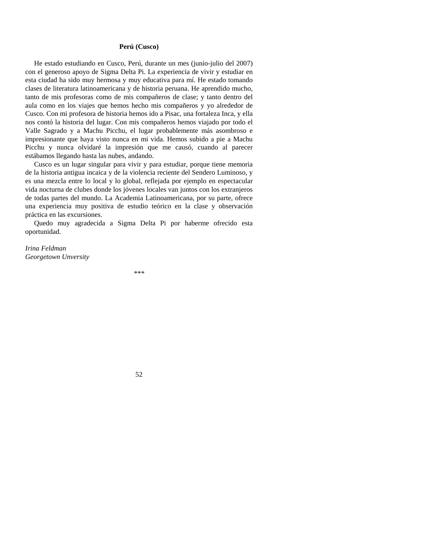#### **Perú (Cusco)**

 He estado estudiando en Cusco, Perú, durante un mes (junio-julio del 2007) con el generoso apoyo de Sigma Delta Pi. La experiencia de vivir y estudiar en esta ciudad ha sido muy hermosa y muy educativa para mí. He estado tomando clases de literatura latinoamericana y de historia peruana. He aprendido mucho, tanto de mis profesoras como de mis compañeros de clase; y tanto dentro del aula como en los viajes que hemos hecho mis compañeros y yo alrededor de Cusco. Con mi profesora de historia hemos ido a Pisac, una fortaleza Inca, y ella nos contó la historia del lugar. Con mis compañeros hemos viajado por todo el Valle Sagrado y a Machu Picchu, el lugar probablemente más asombroso e impresionante que haya visto nunca en mi vida. Hemos subido a pie a Machu Picchu y nunca olvidaré la impresión que me causó, cuando al parecer estábamos llegando hasta las nubes, andando.

 Cusco es un lugar singular para vivir y para estudiar, porque tiene memoria de la historia antigua incaica y de la violencia reciente del Sendero Luminoso, y es una mezcla entre lo local y lo global, reflejada por ejemplo en espectacular vida nocturna de clubes donde los jóvenes locales van juntos con los extranjeros de todas partes del mundo. La Academia Latinoamericana, por su parte, ofrece una experiencia muy positiva de estudio teórico en la clase y observación práctica en las excursiones.

 Quedo muy agradecida a Sigma Delta Pi por haberme ofrecido esta oportunidad.

*Irina Feldman Georgetown Unversity* 

*\*\*\**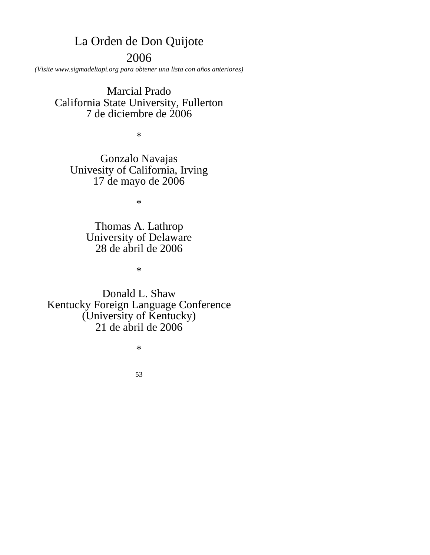# La Orden de Don Quijote 2006

*(Visite www.sigmadeltapi.org para obtener una lista con años anteriores)* 

Marcial Prado California State University, Fullerton 7 de diciembre de 2006

 $\ast$ 

Gonzalo Navajas Univesity of California, Irving 17 de mayo de 2006

\*

Thomas A. Lathrop University of Delaware 28 de abril de 2006

\*

Donald L. Shaw Kentucky Foreign Language Conference (University of Kentucky) 21 de abril de 2006

\*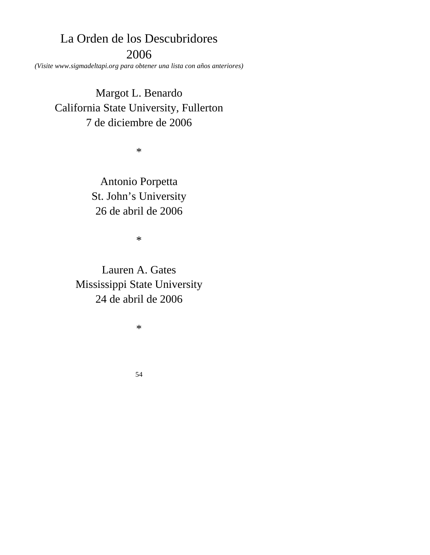# La Orden de los Descubridores 2006

*(Visite www.sigmadeltapi.org para obtener una lista con años anteriores)* 

Margot L. Benardo California State University, Fullerton 7 de diciembre de 2006

\*

Antonio Porpetta St. John's University 26 de abril de 2006

\*

Lauren A. Gates Mississippi State University 24 de abril de 2006

\*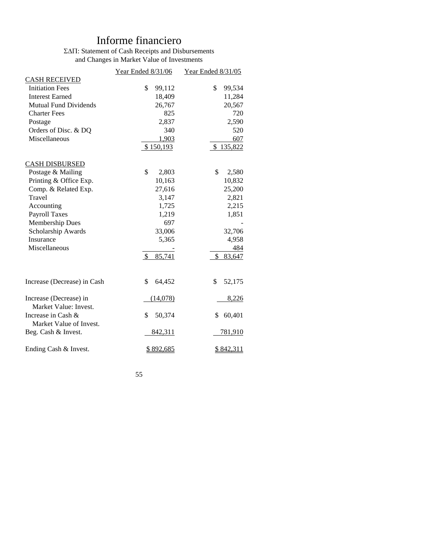# Informe financiero

### ΣΔΠ: Statement of Cash Receipts and Disbursements and Changes in Market Value of Investments

|                              | Year Ended 8/31/06      | Year Ended 8/31/05 |
|------------------------------|-------------------------|--------------------|
| <b>CASH RECEIVED</b>         |                         |                    |
| <b>Initiation Fees</b>       | \$<br>99,112            | \$<br>99,534       |
| <b>Interest Earned</b>       | 18,409                  | 11,284             |
| <b>Mutual Fund Dividends</b> | 26,767                  | 20,567             |
| <b>Charter Fees</b>          | 825                     | 720                |
| Postage                      | 2,837                   | 2,590              |
| Orders of Disc. & DQ         | 340                     | 520                |
| Miscellaneous                | 1,903                   | 607                |
|                              | \$150,193               | \$135,822          |
| <b>CASH DISBURSED</b>        |                         |                    |
| Postage & Mailing            | \$<br>2,803             | \$<br>2,580        |
| Printing & Office Exp.       | 10,163                  | 10,832             |
| Comp. & Related Exp.         | 27,616                  | 25,200             |
| Travel                       | 3,147                   | 2,821              |
| Accounting                   | 1,725                   | 2,215              |
| <b>Payroll Taxes</b>         | 1,219                   | 1,851              |
| <b>Membership Dues</b>       | 697                     |                    |
| Scholarship Awards           | 33,006                  | 32,706             |
| Insurance                    | 5,365                   | 4,958              |
| Miscellaneous                |                         | 484                |
|                              | <sup>\$</sup><br>85,741 | 83,647<br>\$       |
|                              |                         |                    |
| Increase (Decrease) in Cash  | \$<br>64,452            | \$<br>52,175       |
| Increase (Decrease) in       | (14,078)                | 8,226              |
| Market Value: Invest.        |                         |                    |
| Increase in Cash &           | \$<br>50,374            | 60,401<br>\$       |
| Market Value of Invest.      |                         |                    |
| Beg. Cash & Invest.          | <u>842,311</u>          | <u>781,910</u>     |
| Ending Cash & Invest.        | <u>\$892,685</u>        | <u>\$842,311</u>   |